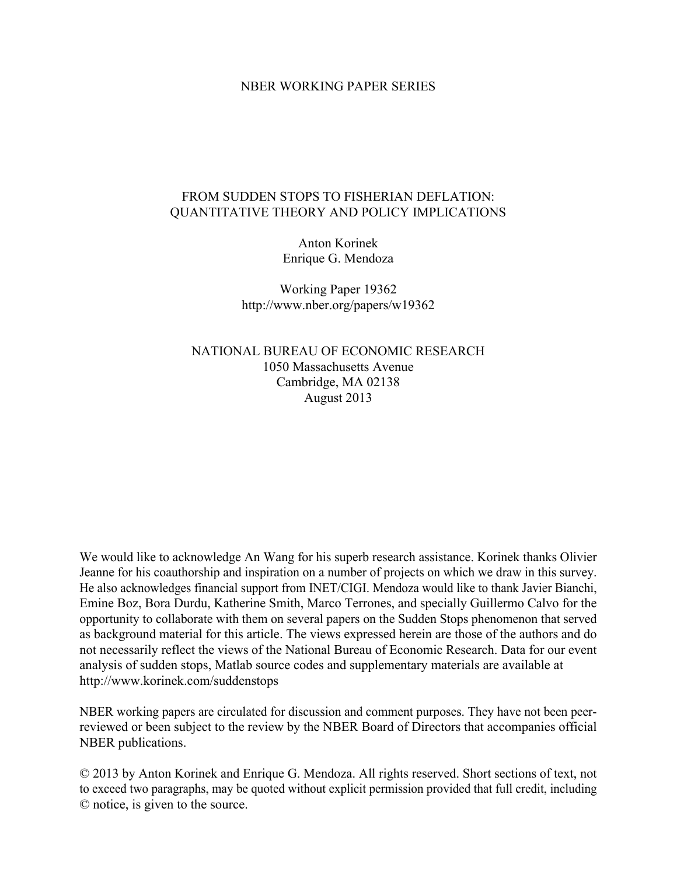#### NBER WORKING PAPER SERIES

### FROM SUDDEN STOPS TO FISHERIAN DEFLATION: QUANTITATIVE THEORY AND POLICY IMPLICATIONS

Anton Korinek Enrique G. Mendoza

Working Paper 19362 http://www.nber.org/papers/w19362

NATIONAL BUREAU OF ECONOMIC RESEARCH 1050 Massachusetts Avenue Cambridge, MA 02138 August 2013

We would like to acknowledge An Wang for his superb research assistance. Korinek thanks Olivier Jeanne for his coauthorship and inspiration on a number of projects on which we draw in this survey. He also acknowledges financial support from INET/CIGI. Mendoza would like to thank Javier Bianchi, Emine Boz, Bora Durdu, Katherine Smith, Marco Terrones, and specially Guillermo Calvo for the opportunity to collaborate with them on several papers on the Sudden Stops phenomenon that served as background material for this article. The views expressed herein are those of the authors and do not necessarily reflect the views of the National Bureau of Economic Research. Data for our event analysis of sudden stops, Matlab source codes and supplementary materials are available at http://www.korinek.com/suddenstops

NBER working papers are circulated for discussion and comment purposes. They have not been peerreviewed or been subject to the review by the NBER Board of Directors that accompanies official NBER publications.

© 2013 by Anton Korinek and Enrique G. Mendoza. All rights reserved. Short sections of text, not to exceed two paragraphs, may be quoted without explicit permission provided that full credit, including © notice, is given to the source.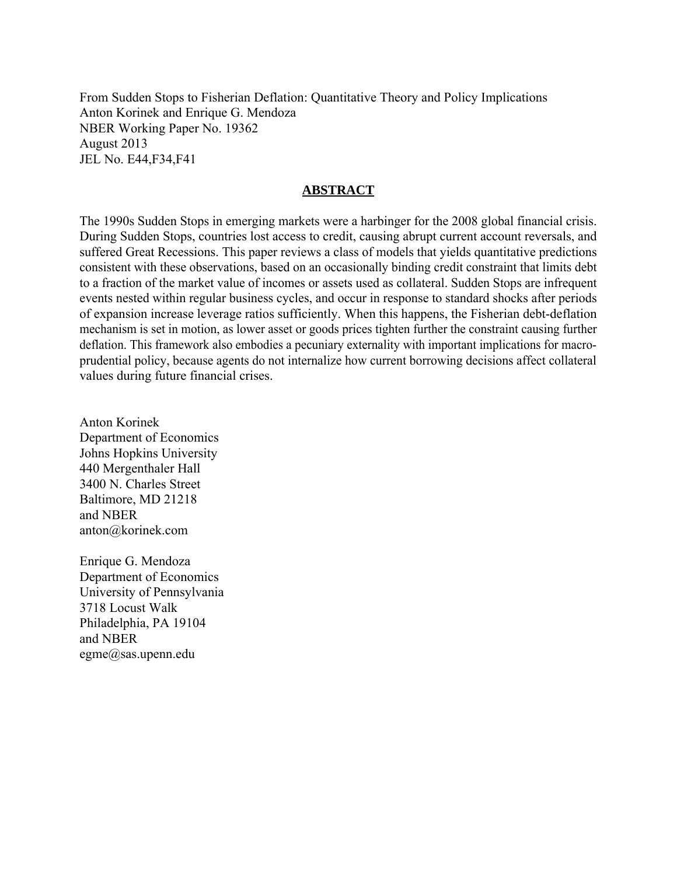From Sudden Stops to Fisherian Deflation: Quantitative Theory and Policy Implications Anton Korinek and Enrique G. Mendoza NBER Working Paper No. 19362 August 2013 JEL No. E44,F34,F41

### **ABSTRACT**

The 1990s Sudden Stops in emerging markets were a harbinger for the 2008 global financial crisis. During Sudden Stops, countries lost access to credit, causing abrupt current account reversals, and suffered Great Recessions. This paper reviews a class of models that yields quantitative predictions consistent with these observations, based on an occasionally binding credit constraint that limits debt to a fraction of the market value of incomes or assets used as collateral. Sudden Stops are infrequent events nested within regular business cycles, and occur in response to standard shocks after periods of expansion increase leverage ratios sufficiently. When this happens, the Fisherian debt-deflation mechanism is set in motion, as lower asset or goods prices tighten further the constraint causing further deflation. This framework also embodies a pecuniary externality with important implications for macroprudential policy, because agents do not internalize how current borrowing decisions affect collateral values during future financial crises.

Anton Korinek Department of Economics Johns Hopkins University 440 Mergenthaler Hall 3400 N. Charles Street Baltimore, MD 21218 and NBER anton@korinek.com

Enrique G. Mendoza Department of Economics University of Pennsylvania 3718 Locust Walk Philadelphia, PA 19104 and NBER egme@sas.upenn.edu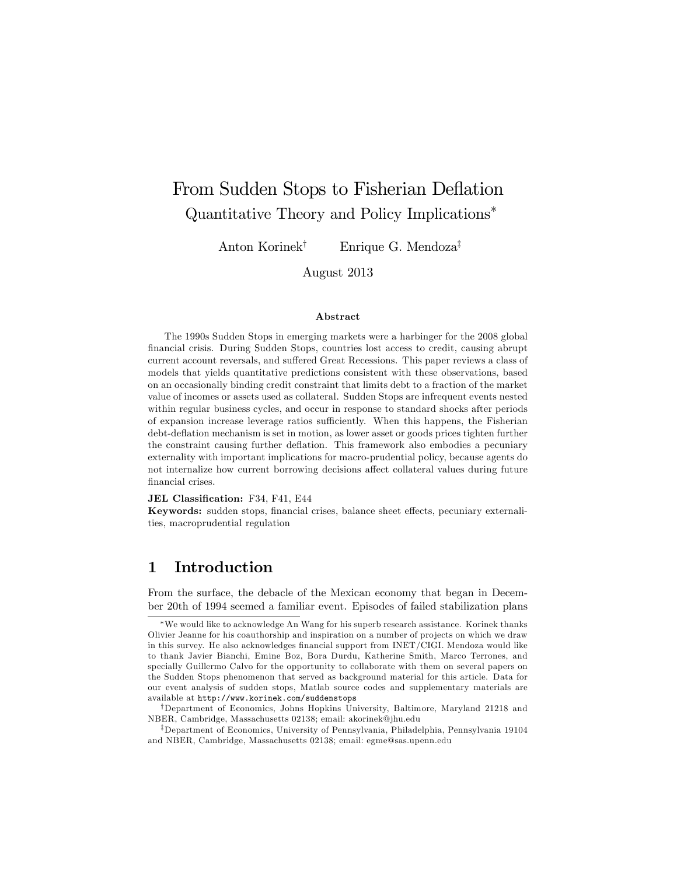# From Sudden Stops to Fisherian Deflation Quantitative Theory and Policy Implications

Anton Korinek<sup>†</sup> Enrique G. Mendoza<sup>‡</sup>

August 2013

#### Abstract

The 1990s Sudden Stops in emerging markets were a harbinger for the 2008 global Önancial crisis. During Sudden Stops, countries lost access to credit, causing abrupt current account reversals, and suffered Great Recessions. This paper reviews a class of models that yields quantitative predictions consistent with these observations, based on an occasionally binding credit constraint that limits debt to a fraction of the market value of incomes or assets used as collateral. Sudden Stops are infrequent events nested within regular business cycles, and occur in response to standard shocks after periods of expansion increase leverage ratios sufficiently. When this happens, the Fisherian debt-deáation mechanism is set in motion, as lower asset or goods prices tighten further the constraint causing further deflation. This framework also embodies a pecuniary externality with important implications for macro-prudential policy, because agents do not internalize how current borrowing decisions affect collateral values during future financial crises.

#### JEL Classification: F34, F41, E44

Keywords: sudden stops, financial crises, balance sheet effects, pecuniary externalities, macroprudential regulation

### 1 Introduction

From the surface, the debacle of the Mexican economy that began in December 20th of 1994 seemed a familiar event. Episodes of failed stabilization plans

We would like to acknowledge An Wang for his superb research assistance. Korinek thanks Olivier Jeanne for his coauthorship and inspiration on a number of pro jects on which we draw in this survey. He also acknowledges financial support from INET/CIGI. Mendoza would like to thank Javier Bianchi, Emine Boz, Bora Durdu, Katherine Smith, Marco Terrones, and specially Guillermo Calvo for the opportunity to collaborate with them on several papers on the Sudden Stops phenomenon that served as background material for this article. Data for our event analysis of sudden stops, Matlab source codes and supplementary materials are available at http://www.korinek.com/suddenstops

<sup>&</sup>lt;sup>†</sup>Department of Economics, Johns Hopkins University, Baltimore, Maryland 21218 and NBER, Cambridge, Massachusetts 02138; email: akorinek@jhu.edu

<sup>&</sup>lt;sup>‡</sup>Department of Economics, University of Pennsylvania, Philadelphia, Pennsylvania 19104 and NBER, Cambridge, Massachusetts 02138; email: egme@sas.upenn.edu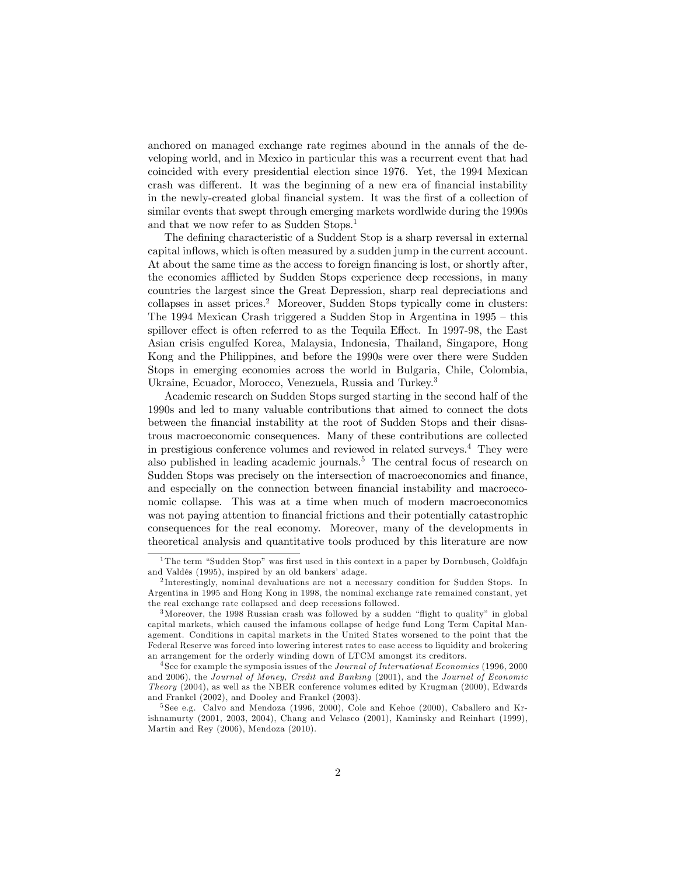anchored on managed exchange rate regimes abound in the annals of the developing world, and in Mexico in particular this was a recurrent event that had coincided with every presidential election since 1976. Yet, the 1994 Mexican crash was different. It was the beginning of a new era of financial instability in the newly-created global financial system. It was the first of a collection of similar events that swept through emerging markets wordlwide during the 1990s and that we now refer to as Sudden Stops.<sup>1</sup>

The defining characteristic of a Suddent Stop is a sharp reversal in external capital inflows, which is often measured by a sudden jump in the current account. At about the same time as the access to foreign financing is lost, or shortly after, the economies afflicted by Sudden Stops experience deep recessions, in many countries the largest since the Great Depression, sharp real depreciations and collapses in asset prices.<sup>2</sup> Moreover, Sudden Stops typically come in clusters: The 1994 Mexican Crash triggered a Sudden Stop in Argentina in  $1995 -$  this spillover effect is often referred to as the Tequila Effect. In 1997-98, the East Asian crisis engulfed Korea, Malaysia, Indonesia, Thailand, Singapore, Hong Kong and the Philippines, and before the 1990s were over there were Sudden Stops in emerging economies across the world in Bulgaria, Chile, Colombia, Ukraine, Ecuador, Morocco, Venezuela, Russia and Turkey.<sup>3</sup>

Academic research on Sudden Stops surged starting in the second half of the 1990s and led to many valuable contributions that aimed to connect the dots between the Önancial instability at the root of Sudden Stops and their disastrous macroeconomic consequences. Many of these contributions are collected in prestigious conference volumes and reviewed in related surveys.<sup>4</sup> They were also published in leading academic journals.<sup>5</sup> The central focus of research on Sudden Stops was precisely on the intersection of macroeconomics and finance, and especially on the connection between financial instability and macroeco-nomic collapse. This was at a time when much of modern macroeconomics was not paying attention to financial frictions and their potentially catastrophic consequences for the real economy. Moreover, many of the developments in theoretical analysis and quantitative tools produced by this literature are now

<sup>&</sup>lt;sup>1</sup>The term "Sudden Stop" was first used in this context in a paper by Dornbusch, Goldfa jn and Valdés (1995), inspired by an old bankers' adage.

<sup>&</sup>lt;sup>2</sup>Interestingly, nominal devaluations are not a necessary condition for Sudden Stops. In Argentina in 1995 and Hong Kong in 1998, the nominal exchange rate remained constant, yet the real exchange rate collapsed and deep recessions followed.

 $3$ Moreover, the 1998 Russian crash was followed by a sudden "flight to quality" in global capital markets, which caused the infamous collapse of hedge fund Long Term Capital Management. Conditions in capital markets in the United States worsened to the point that the Federal Reserve was forced into lowering interest rates to ease access to liquidity and brokering an arrangement for the orderly winding down of LTCM amongst its creditors.

<sup>&</sup>lt;sup>4</sup> See for example the symposia issues of the *Journal of International Economics* (1996, 2000) and 2006), the Journal of Money, Credit and Banking (2001), and the Journal of Economic Theory (2004), as well as the NBER conference volumes edited by Krugman (2000), Edwards and Frankel (2002), and Dooley and Frankel (2003).

<sup>5</sup> See e.g. Calvo and Mendoza (1996, 2000), Cole and Kehoe (2000), Caballero and Krishnamurty (2001, 2003, 2004), Chang and Velasco (2001), Kaminsky and Reinhart (1999), Martin and Rey (2006), Mendoza (2010).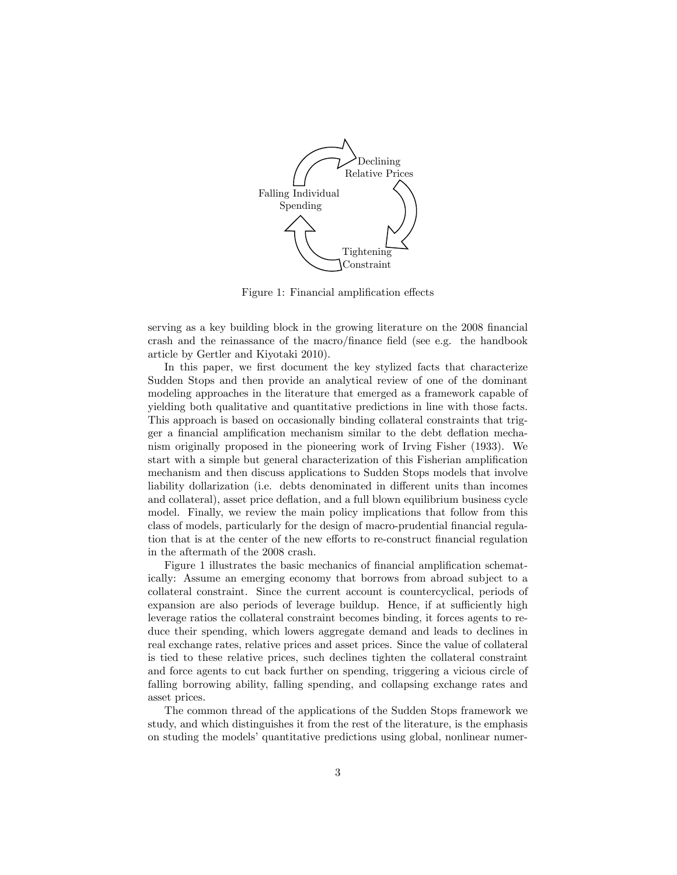

Figure 1: Financial amplification effects

serving as a key building block in the growing literature on the 2008 financial crash and the reinassance of the macro/finance field (see e.g. the handbook article by Gertler and Kiyotaki 2010).

In this paper, we first document the key stylized facts that characterize Sudden Stops and then provide an analytical review of one of the dominant modeling approaches in the literature that emerged as a framework capable of yielding both qualitative and quantitative predictions in line with those facts. This approach is based on occasionally binding collateral constraints that trigger a financial amplification mechanism similar to the debt deflation mechanism originally proposed in the pioneering work of Irving Fisher (1933). We start with a simple but general characterization of this Fisherian amplification mechanism and then discuss applications to Sudden Stops models that involve liability dollarization (i.e. debts denominated in different units than incomes and collateral), asset price deflation, and a full blown equilibrium business cycle model. Finally, we review the main policy implications that follow from this class of models, particularly for the design of macro-prudential financial regulation that is at the center of the new efforts to re-construct financial regulation in the aftermath of the 2008 crash.

Figure 1 illustrates the basic mechanics of financial amplification schematically: Assume an emerging economy that borrows from abroad subject to a collateral constraint. Since the current account is countercyclical, periods of expansion are also periods of leverage buildup. Hence, if at sufficiently high leverage ratios the collateral constraint becomes binding, it forces agents to reduce their spending, which lowers aggregate demand and leads to declines in real exchange rates, relative prices and asset prices. Since the value of collateral is tied to these relative prices, such declines tighten the collateral constraint and force agents to cut back further on spending, triggering a vicious circle of falling borrowing ability, falling spending, and collapsing exchange rates and asset prices.

The common thread of the applications of the Sudden Stops framework we study, and which distinguishes it from the rest of the literature, is the emphasis on studing the models' quantitative predictions using global, nonlinear numer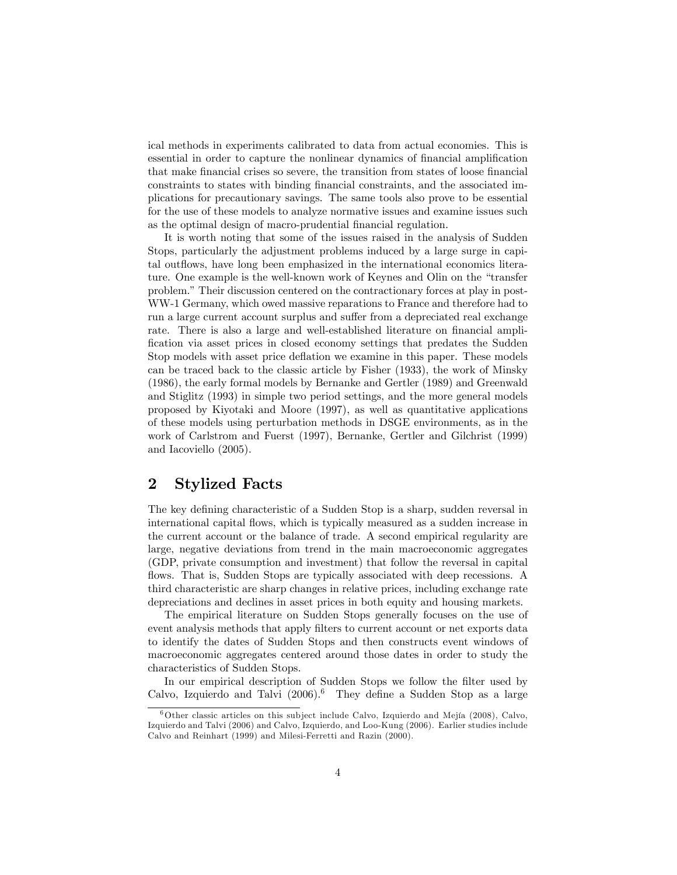ical methods in experiments calibrated to data from actual economies. This is essential in order to capture the nonlinear dynamics of financial amplification that make financial crises so severe, the transition from states of loose financial constraints to states with binding Önancial constraints, and the associated implications for precautionary savings. The same tools also prove to be essential for the use of these models to analyze normative issues and examine issues such as the optimal design of macro-prudential financial regulation.

It is worth noting that some of the issues raised in the analysis of Sudden Stops, particularly the adjustment problems induced by a large surge in capital outflows, have long been emphasized in the international economics literature. One example is the well-known work of Keynes and Olin on the "transfer" problem." Their discussion centered on the contractionary forces at play in post-WW-1 Germany, which owed massive reparations to France and therefore had to run a large current account surplus and suffer from a depreciated real exchange rate. There is also a large and well-established literature on financial ampli-Öcation via asset prices in closed economy settings that predates the Sudden Stop models with asset price deflation we examine in this paper. These models can be traced back to the classic article by Fisher (1933), the work of Minsky (1986), the early formal models by Bernanke and Gertler (1989) and Greenwald and Stiglitz (1993) in simple two period settings, and the more general models proposed by Kiyotaki and Moore (1997), as well as quantitative applications of these models using perturbation methods in DSGE environments, as in the work of Carlstrom and Fuerst (1997), Bernanke, Gertler and Gilchrist (1999) and Iacoviello (2005).

### 2 Stylized Facts

The key defining characteristic of a Sudden Stop is a sharp, sudden reversal in international capital flows, which is typically measured as a sudden increase in the current account or the balance of trade. A second empirical regularity are large, negative deviations from trend in the main macroeconomic aggregates (GDP, private consumption and investment) that follow the reversal in capital flows. That is, Sudden Stops are typically associated with deep recessions. A third characteristic are sharp changes in relative prices, including exchange rate depreciations and declines in asset prices in both equity and housing markets.

The empirical literature on Sudden Stops generally focuses on the use of event analysis methods that apply Ölters to current account or net exports data to identify the dates of Sudden Stops and then constructs event windows of macroeconomic aggregates centered around those dates in order to study the characteristics of Sudden Stops.

In our empirical description of Sudden Stops we follow the filter used by Calvo, Izquierdo and Talvi  $(2006)^6$  They define a Sudden Stop as a large

 $6$ Other classic articles on this subject include Calvo, Izquierdo and Mejía (2008), Calvo, Izquierdo and Talvi (2006) and Calvo, Izquierdo, and Loo-Kung (2006). Earlier studies include Calvo and Reinhart (1999) and Milesi-Ferretti and Razin (2000).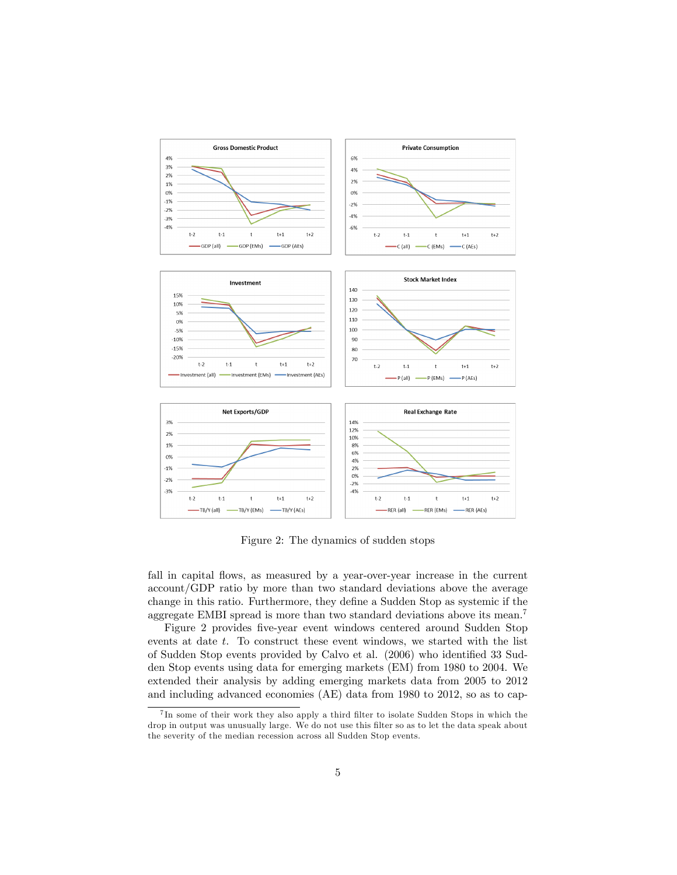

Figure 2: The dynamics of sudden stops

fall in capital flows, as measured by a year-over-year increase in the current account/GDP ratio by more than two standard deviations above the average change in this ratio. Furthermore, they define a Sudden Stop as systemic if the aggregate EMBI spread is more than two standard deviations above its mean.<sup>7</sup>

Figure 2 provides five-year event windows centered around Sudden Stop events at date t. To construct these event windows, we started with the list of Sudden Stop events provided by Calvo et al. (2006) who identified 33 Sudden Stop events using data for emerging markets (EM) from 1980 to 2004. We extended their analysis by adding emerging markets data from 2005 to 2012 and including advanced economies (AE) data from 1980 to 2012, so as to cap-

<sup>&</sup>lt;sup>7</sup>In some of their work they also apply a third filter to isolate Sudden Stops in which the drop in output was unusually large. We do not use this filter so as to let the data speak about the severity of the median recession across all Sudden Stop events.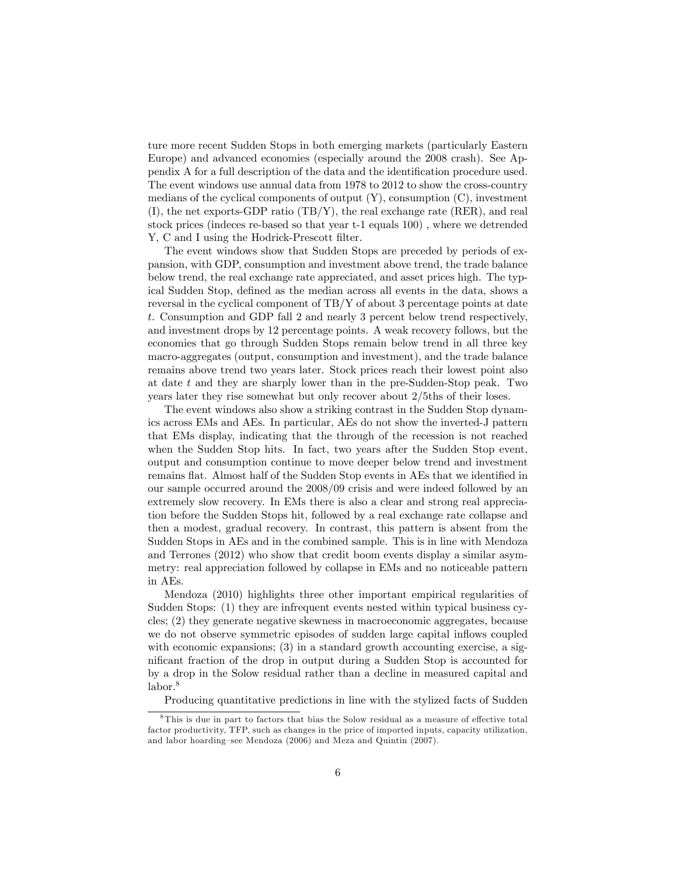ture more recent Sudden Stops in both emerging markets (particularly Eastern Europe) and advanced economies (especially around the 2008 crash). See Appendix A for a full description of the data and the identification procedure used. The event windows use annual data from 1978 to 2012 to show the cross-country medians of the cyclical components of output  $(Y)$ , consumption  $(C)$ , investment (I), the net exports-GDP ratio (TB/Y), the real exchange rate (RER), and real stock prices (indeces re-based so that year t-1 equals 100) , where we detrended Y, C and I using the Hodrick-Prescott filter.

The event windows show that Sudden Stops are preceded by periods of expansion, with GDP, consumption and investment above trend, the trade balance below trend, the real exchange rate appreciated, and asset prices high. The typical Sudden Stop, defined as the median across all events in the data, shows a reversal in the cyclical component of TB/Y of about 3 percentage points at date t. Consumption and GDP fall 2 and nearly 3 percent below trend respectively, and investment drops by 12 percentage points. A weak recovery follows, but the economies that go through Sudden Stops remain below trend in all three key macro-aggregates (output, consumption and investment), and the trade balance remains above trend two years later. Stock prices reach their lowest point also at date  $t$  and they are sharply lower than in the pre-Sudden-Stop peak. Two years later they rise somewhat but only recover about 2/5ths of their loses.

The event windows also show a striking contrast in the Sudden Stop dynamics across EMs and AEs. In particular, AEs do not show the inverted-J pattern that EMs display, indicating that the through of the recession is not reached when the Sudden Stop hits. In fact, two years after the Sudden Stop event, output and consumption continue to move deeper below trend and investment remains flat. Almost half of the Sudden Stop events in AEs that we identified in our sample occurred around the 2008/09 crisis and were indeed followed by an extremely slow recovery. In EMs there is also a clear and strong real appreciation before the Sudden Stops hit, followed by a real exchange rate collapse and then a modest, gradual recovery. In contrast, this pattern is absent from the Sudden Stops in AEs and in the combined sample. This is in line with Mendoza and Terrones (2012) who show that credit boom events display a similar asymmetry: real appreciation followed by collapse in EMs and no noticeable pattern in AEs.

Mendoza (2010) highlights three other important empirical regularities of Sudden Stops: (1) they are infrequent events nested within typical business cycles; (2) they generate negative skewness in macroeconomic aggregates, because we do not observe symmetric episodes of sudden large capital inflows coupled with economic expansions; (3) in a standard growth accounting exercise, a significant fraction of the drop in output during a Sudden Stop is accounted for by a drop in the Solow residual rather than a decline in measured capital and labor.<sup>8</sup>

Producing quantitative predictions in line with the stylized facts of Sudden

 $8$ This is due in part to factors that bias the Solow residual as a measure of effective total factor productivity, TFP, such as changes in the price of imported inputs, capacity utilization, and labor hoarding-see Mendoza (2006) and Meza and Quintin (2007).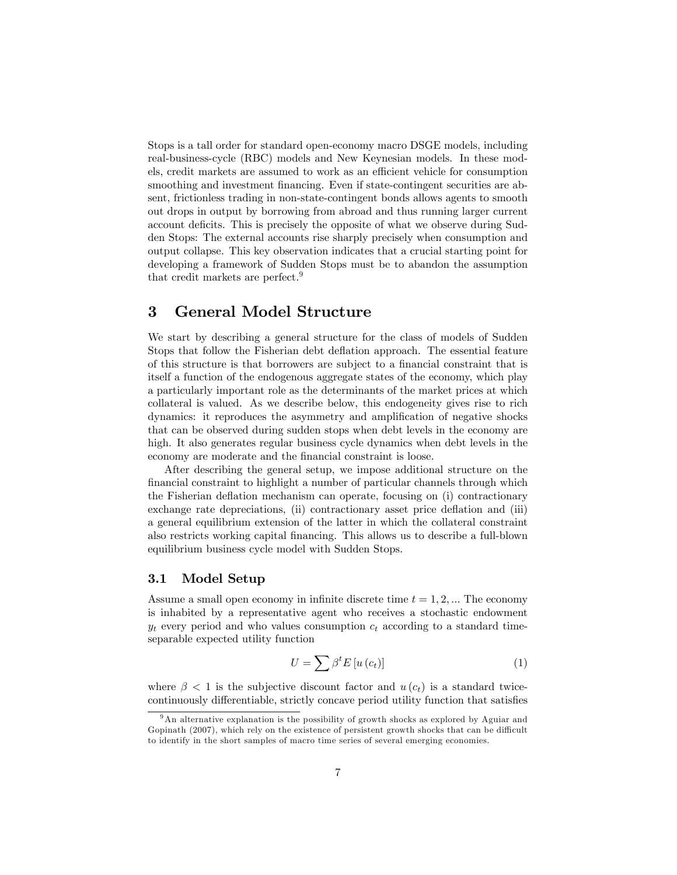Stops is a tall order for standard open-economy macro DSGE models, including real-business-cycle (RBC) models and New Keynesian models. In these models, credit markets are assumed to work as an efficient vehicle for consumption smoothing and investment financing. Even if state-contingent securities are absent, frictionless trading in non-state-contingent bonds allows agents to smooth out drops in output by borrowing from abroad and thus running larger current account deficits. This is precisely the opposite of what we observe during Sudden Stops: The external accounts rise sharply precisely when consumption and output collapse. This key observation indicates that a crucial starting point for developing a framework of Sudden Stops must be to abandon the assumption that credit markets are perfect.<sup>9</sup>

### 3 General Model Structure

We start by describing a general structure for the class of models of Sudden Stops that follow the Fisherian debt deflation approach. The essential feature of this structure is that borrowers are subject to a financial constraint that is itself a function of the endogenous aggregate states of the economy, which play a particularly important role as the determinants of the market prices at which collateral is valued. As we describe below, this endogeneity gives rise to rich dynamics: it reproduces the asymmetry and amplification of negative shocks that can be observed during sudden stops when debt levels in the economy are high. It also generates regular business cycle dynamics when debt levels in the economy are moderate and the financial constraint is loose.

After describing the general setup, we impose additional structure on the Önancial constraint to highlight a number of particular channels through which the Fisherian deflation mechanism can operate, focusing on (i) contractionary exchange rate depreciations, (ii) contractionary asset price deflation and (iii) a general equilibrium extension of the latter in which the collateral constraint also restricts working capital Önancing. This allows us to describe a full-blown equilibrium business cycle model with Sudden Stops.

#### 3.1 Model Setup

Assume a small open economy in infinite discrete time  $t = 1, 2, \dots$  The economy is inhabited by a representative agent who receives a stochastic endowment  $y_t$  every period and who values consumption  $c_t$  according to a standard timeseparable expected utility function

$$
U = \sum \beta^t E\left[u\left(c_t\right)\right] \tag{1}
$$

where  $\beta$  < 1 is the subjective discount factor and  $u(c_t)$  is a standard twicecontinuously differentiable, strictly concave period utility function that satisfies

<sup>&</sup>lt;sup>9</sup>An alternative explanation is the possibility of growth shocks as explored by Aguiar and Gopinath  $(2007)$ , which rely on the existence of persistent growth shocks that can be difficult to identify in the short samples of macro time series of several emerging economies.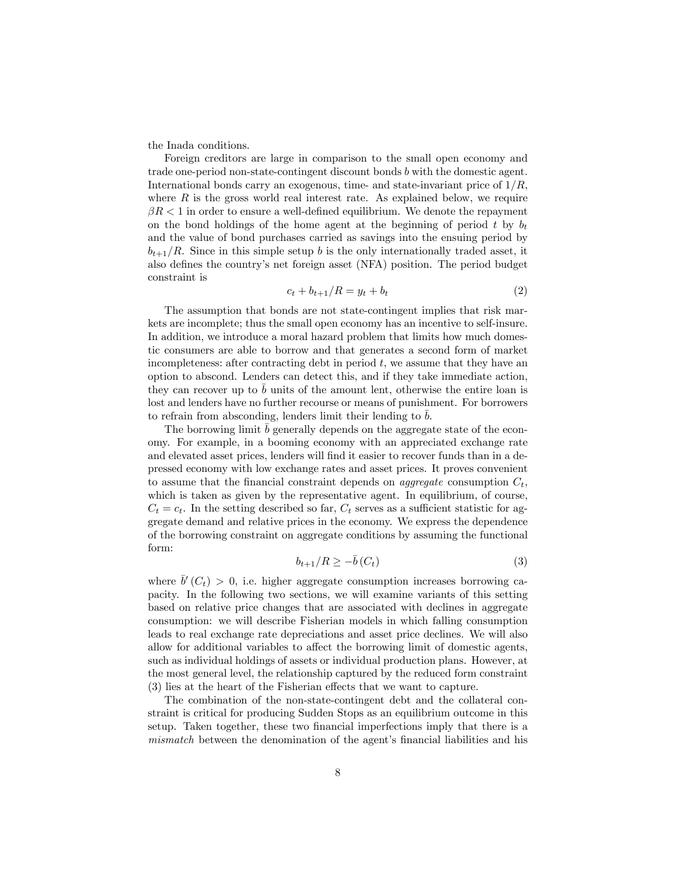the Inada conditions.

Foreign creditors are large in comparison to the small open economy and trade one-period non-state-contingent discount bonds b with the domestic agent. International bonds carry an exogenous, time- and state-invariant price of  $1/R$ , where  $R$  is the gross world real interest rate. As explained below, we require  $\beta R < 1$  in order to ensure a well-defined equilibrium. We denote the repayment on the bond holdings of the home agent at the beginning of period t by  $b_t$ and the value of bond purchases carried as savings into the ensuing period by  $b_{t+1}/R$ . Since in this simple setup b is the only internationally traded asset, it also defines the country's net foreign asset (NFA) position. The period budget constraint is

$$
c_t + b_{t+1}/R = y_t + b_t \tag{2}
$$

The assumption that bonds are not state-contingent implies that risk markets are incomplete; thus the small open economy has an incentive to self-insure. In addition, we introduce a moral hazard problem that limits how much domestic consumers are able to borrow and that generates a second form of market incompleteness: after contracting debt in period  $t$ , we assume that they have an option to abscond. Lenders can detect this, and if they take immediate action, they can recover up to b units of the amount lent, otherwise the entire loan is lost and lenders have no further recourse or means of punishment. For borrowers to refrain from absconding, lenders limit their lending to b.

The borrowing limit b generally depends on the aggregate state of the economy. For example, in a booming economy with an appreciated exchange rate and elevated asset prices, lenders will find it easier to recover funds than in a depressed economy with low exchange rates and asset prices. It proves convenient to assume that the financial constraint depends on *aggregate* consumption  $C_t$ , which is taken as given by the representative agent. In equilibrium, of course,  $C_t = c_t$ . In the setting described so far,  $C_t$  serves as a sufficient statistic for aggregate demand and relative prices in the economy. We express the dependence of the borrowing constraint on aggregate conditions by assuming the functional form:

$$
b_{t+1}/R \ge -\bar{b}(C_t) \tag{3}
$$

where  $\bar{b}'(C_t) > 0$ , i.e. higher aggregate consumption increases borrowing capacity. In the following two sections, we will examine variants of this setting based on relative price changes that are associated with declines in aggregate consumption: we will describe Fisherian models in which falling consumption leads to real exchange rate depreciations and asset price declines. We will also allow for additional variables to affect the borrowing limit of domestic agents, such as individual holdings of assets or individual production plans. However, at the most general level, the relationship captured by the reduced form constraint  $(3)$  lies at the heart of the Fisherian effects that we want to capture.

The combination of the non-state-contingent debt and the collateral constraint is critical for producing Sudden Stops as an equilibrium outcome in this setup. Taken together, these two financial imperfections imply that there is a mismatch between the denomination of the agent's financial liabilities and his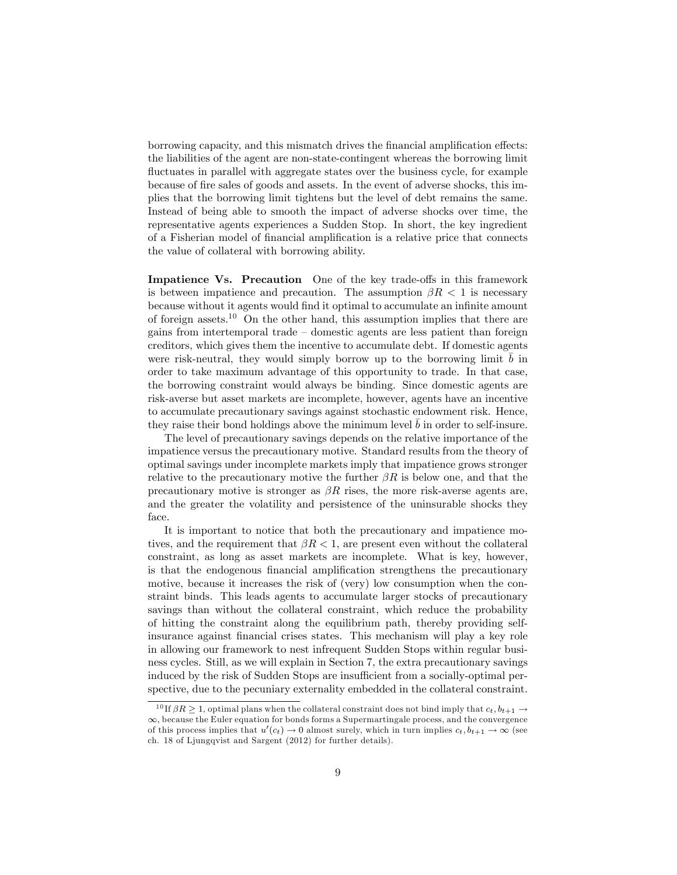borrowing capacity, and this mismatch drives the financial amplification effects: the liabilities of the agent are non-state-contingent whereas the borrowing limit fluctuates in parallel with aggregate states over the business cycle, for example because of Öre sales of goods and assets. In the event of adverse shocks, this implies that the borrowing limit tightens but the level of debt remains the same. Instead of being able to smooth the impact of adverse shocks over time, the representative agents experiences a Sudden Stop. In short, the key ingredient of a Fisherian model of financial amplification is a relative price that connects the value of collateral with borrowing ability.

Impatience Vs. Precaution One of the key trade-offs in this framework is between impatience and precaution. The assumption  $\beta R < 1$  is necessary because without it agents would find it optimal to accumulate an infinite amount of foreign assets.<sup>10</sup> On the other hand, this assumption implies that there are gains from intertemporal trade  $-\frac{1}{2}$  domestic agents are less patient than foreign creditors, which gives them the incentive to accumulate debt. If domestic agents were risk-neutral, they would simply borrow up to the borrowing limit  $\bar{b}$  in order to take maximum advantage of this opportunity to trade. In that case, the borrowing constraint would always be binding. Since domestic agents are risk-averse but asset markets are incomplete, however, agents have an incentive to accumulate precautionary savings against stochastic endowment risk. Hence, they raise their bond holdings above the minimum level b in order to self-insure.

The level of precautionary savings depends on the relative importance of the impatience versus the precautionary motive. Standard results from the theory of optimal savings under incomplete markets imply that impatience grows stronger relative to the precautionary motive the further  $\beta R$  is below one, and that the precautionary motive is stronger as  $\beta R$  rises, the more risk-averse agents are, and the greater the volatility and persistence of the uninsurable shocks they face.

It is important to notice that both the precautionary and impatience motives, and the requirement that  $\beta R < 1$ , are present even without the collateral constraint, as long as asset markets are incomplete. What is key, however, is that the endogenous financial amplification strengthens the precautionary motive, because it increases the risk of (very) low consumption when the constraint binds. This leads agents to accumulate larger stocks of precautionary savings than without the collateral constraint, which reduce the probability of hitting the constraint along the equilibrium path, thereby providing selfinsurance against Önancial crises states. This mechanism will play a key role in allowing our framework to nest infrequent Sudden Stops within regular business cycles. Still, as we will explain in Section 7, the extra precautionary savings induced by the risk of Sudden Stops are insufficient from a socially-optimal perspective, due to the pecuniary externality embedded in the collateral constraint.

<sup>&</sup>lt;sup>10</sup> If  $\beta R > 1$ , optimal plans when the collateral constraint does not bind imply that  $c_t, b_{t+1} \rightarrow$  $\infty$ , because the Euler equation for bonds forms a Supermartingale process, and the convergence of this process implies that  $u'(c_t) \to 0$  almost surely, which in turn implies  $c_t, b_{t+1} \to \infty$  (see ch. 18 of Ljungqvist and Sargent (2012) for further details).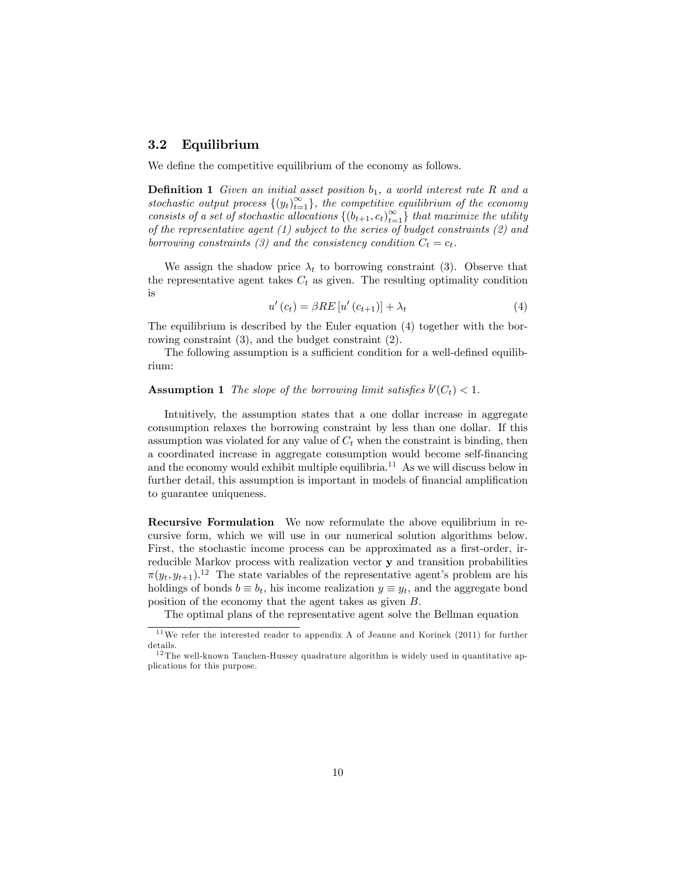#### 3.2 Equilibrium

We define the competitive equilibrium of the economy as follows.

**Definition 1** Given an initial asset position  $b_1$ , a world interest rate R and a stochastic output process  $\{(y_t)_{t=1}^{\infty}\}\$ , the competitive equilibrium of the economy consists of a set of stochastic allocations  $\{(b_{t+1}, c_t)_{t=1}^{\infty}\}$  that maximize the utility of the representative agent (1) subject to the series of budget constraints (2) and borrowing constraints (3) and the consistency condition  $C_t = c_t$ .

We assign the shadow price  $\lambda_t$  to borrowing constraint (3). Observe that the representative agent takes  $C_t$  as given. The resulting optimality condition is

$$
u'(c_t) = \beta RE[u'(c_{t+1})] + \lambda_t \tag{4}
$$

The equilibrium is described by the Euler equation (4) together with the borrowing constraint (3), and the budget constraint (2).

The following assumption is a sufficient condition for a well-defined equilibrium:

**Assumption 1** The slope of the borrowing limit satisfies  $\bar{b}'(C_t) < 1$ .

Intuitively, the assumption states that a one dollar increase in aggregate consumption relaxes the borrowing constraint by less than one dollar. If this assumption was violated for any value of  $C_t$  when the constraint is binding, then a coordinated increase in aggregate consumption would become self-financing and the economy would exhibit multiple equilibria.<sup>11</sup> As we will discuss below in further detail, this assumption is important in models of financial amplification to guarantee uniqueness.

Recursive Formulation We now reformulate the above equilibrium in recursive form, which we will use in our numerical solution algorithms below. First, the stochastic income process can be approximated as a first-order, irreducible Markov process with realization vector y and transition probabilities  $\pi(y_t, y_{t+1})$ .<sup>12</sup> The state variables of the representative agent's problem are his holdings of bonds  $b \equiv b_t$ , his income realization  $y \equiv y_t$ , and the aggregate bond position of the economy that the agent takes as given B.

The optimal plans of the representative agent solve the Bellman equation

<sup>11</sup>We refer the interested reader to appendix A of Jeanne and Korinek (2011) for further details.

 $12$  The well-known Tauchen-Hussey quadrature algorithm is widely used in quantitative applications for this purpose.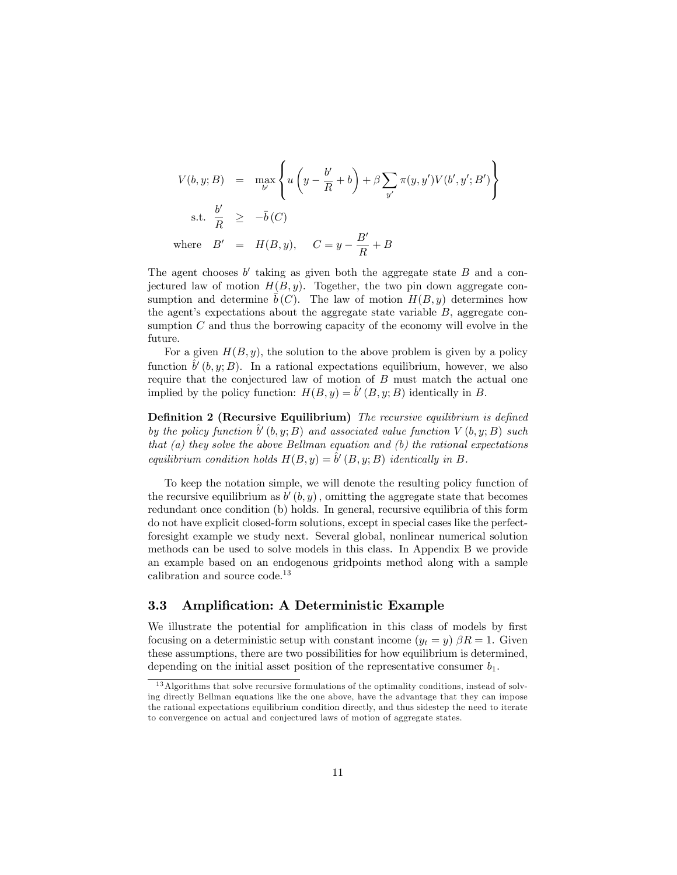$$
V(b, y; B) = \max_{b'} \left\{ u \left( y - \frac{b'}{R} + b \right) + \beta \sum_{y'} \pi(y, y') V(b', y'; B') \right\}
$$
  
s.t.  $\frac{b'}{R} \ge -\overline{b}(C)$   
where  $B' = H(B, y), C = y - \frac{B'}{R} + B$ 

The agent chooses  $b'$  taking as given both the aggregate state  $B$  and a conjectured law of motion  $H(B, y)$ . Together, the two pin down aggregate consumption and determine  $\bar{b}(C)$ . The law of motion  $H(B, y)$  determines how the agent's expectations about the aggregate state variable  $B$ , aggregate consumption  $C$  and thus the borrowing capacity of the economy will evolve in the future.

For a given  $H(B, y)$ , the solution to the above problem is given by a policy function  $\hat{b}'(b, y; B)$ . In a rational expectations equilibrium, however, we also require that the conjectured law of motion of B must match the actual one implied by the policy function:  $H(B, y) = \hat{b}'(B, y; B)$  identically in B.

Definition 2 (Recursive Equilibrium) The recursive equilibrium is defined by the policy function  $\hat{b}'(b, y; B)$  and associated value function  $V(b, y; B)$  such that  $(a)$  they solve the above Bellman equation and  $(b)$  the rational expectations equilibrium condition holds  $H(B, y) = \hat{b}'(B, y; B)$  identically in B.

To keep the notation simple, we will denote the resulting policy function of the recursive equilibrium as  $b'(b, y)$ , omitting the aggregate state that becomes redundant once condition (b) holds. In general, recursive equilibria of this form do not have explicit closed-form solutions, except in special cases like the perfectforesight example we study next. Several global, nonlinear numerical solution methods can be used to solve models in this class. In Appendix B we provide an example based on an endogenous gridpoints method along with a sample calibration and source code.<sup>13</sup>

#### 3.3 Amplification: A Deterministic Example

We illustrate the potential for amplification in this class of models by first focusing on a deterministic setup with constant income  $(y_t = y)$   $\beta R = 1$ . Given these assumptions, there are two possibilities for how equilibrium is determined, depending on the initial asset position of the representative consumer  $b_1$ .

<sup>&</sup>lt;sup>13</sup> Algorithms that solve recursive formulations of the optimality conditions, instead of solving directly Bellman equations like the one above, have the advantage that they can impose the rational expectations equilibrium condition directly, and thus sidestep the need to iterate to convergence on actual and conjectured laws of motion of aggregate states.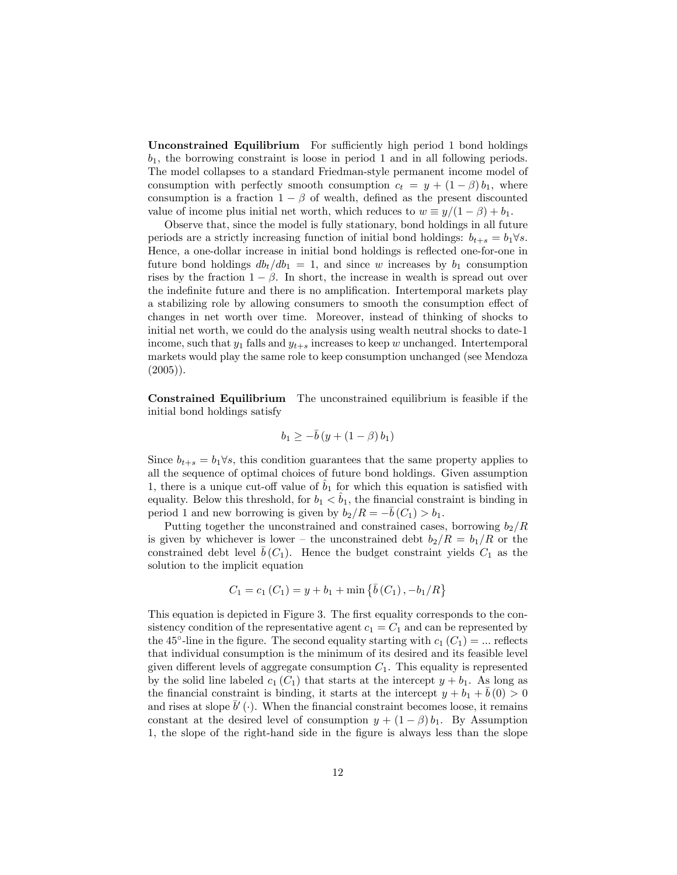Unconstrained Equilibrium For sufficiently high period 1 bond holdings  $b_1$ , the borrowing constraint is loose in period 1 and in all following periods. The model collapses to a standard Friedman-style permanent income model of consumption with perfectly smooth consumption  $c_t = y + (1 - \beta) b_1$ , where consumption is a fraction  $1 - \beta$  of wealth, defined as the present discounted value of income plus initial net worth, which reduces to  $w \equiv y/(1 - \beta) + b_1$ .

Observe that, since the model is fully stationary, bond holdings in all future periods are a strictly increasing function of initial bond holdings:  $b_{t+s} = b_1 \forall s$ . Hence, a one-dollar increase in initial bond holdings is reflected one-for-one in future bond holdings  $db_t/db_1 = 1$ , and since w increases by  $b_1$  consumption rises by the fraction  $1 - \beta$ . In short, the increase in wealth is spread out over the indefinite future and there is no amplification. Intertemporal markets play a stabilizing role by allowing consumers to smooth the consumption effect of changes in net worth over time. Moreover, instead of thinking of shocks to initial net worth, we could do the analysis using wealth neutral shocks to date-1 income, such that  $y_1$  falls and  $y_{t+s}$  increases to keep w unchanged. Intertemporal markets would play the same role to keep consumption unchanged (see Mendoza  $(2005)$ ).

Constrained Equilibrium The unconstrained equilibrium is feasible if the initial bond holdings satisfy

$$
b_1 \geq -\bar{b}\left(y + \left(1 - \beta\right)b_1\right)
$$

Since  $b_{t+s} = b_1 \forall s$ , this condition guarantees that the same property applies to all the sequence of optimal choices of future bond holdings. Given assumption 1, there is a unique cut-off value of  $b_1$  for which this equation is satisfied with equality. Below this threshold, for  $b_1 < \hat{b}_1$ , the financial constraint is binding in period 1 and new borrowing is given by  $b_2/R = -\bar{b} (C_1) > b_1$ .

Putting together the unconstrained and constrained cases, borrowing  $b_2/R$ is given by whichever is lower – the unconstrained debt  $b_2/R = b_1/R$  or the constrained debt level  $\overline{b}(C_1)$ . Hence the budget constraint yields  $C_1$  as the solution to the implicit equation

$$
C_1 = c_1 (C_1) = y + b_1 + \min \{ \bar{b} (C_1), -b_1/R \}
$$

This equation is depicted in Figure 3. The first equality corresponds to the consistency condition of the representative agent  $c_1 = C_1$  and can be represented by the 45<sup>°</sup>-line in the figure. The second equality starting with  $c_1(C_1) = ...$  reflects that individual consumption is the minimum of its desired and its feasible level given different levels of aggregate consumption  $C_1$ . This equality is represented by the solid line labeled  $c_1$  (C<sub>1</sub>) that starts at the intercept  $y + b_1$ . As long as the financial constraint is binding, it starts at the intercept  $y + b_1 + b(0) > 0$ and rises at slope  $\bar{b}'$  (.). When the financial constraint becomes loose, it remains constant at the desired level of consumption  $y + (1 - \beta) b_1$ . By Assumption 1, the slope of the right-hand side in the figure is always less than the slope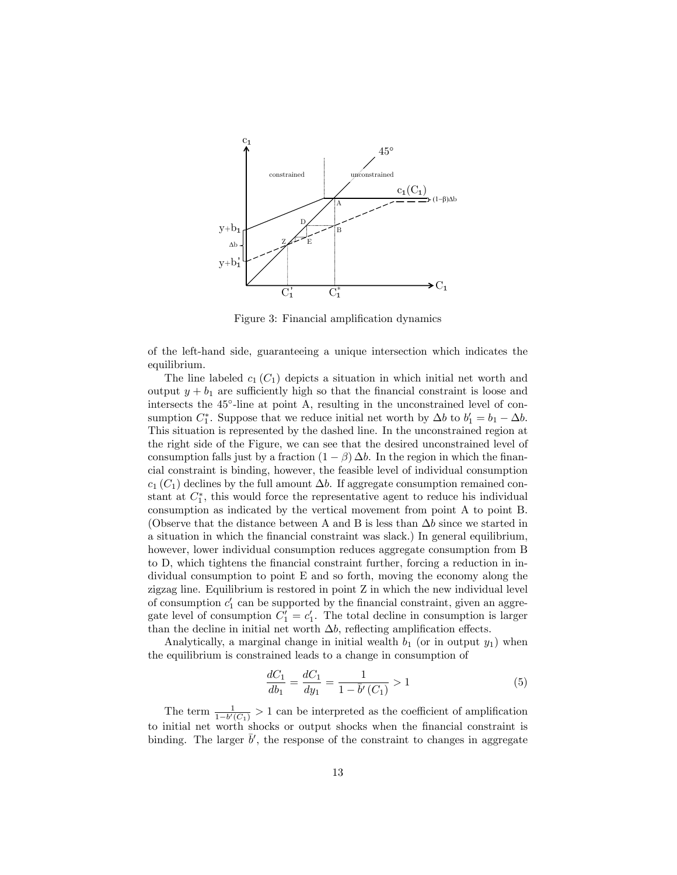

Figure 3: Financial amplification dynamics

of the left-hand side, guaranteeing a unique intersection which indicates the equilibrium.

The line labeled  $c_1$  ( $C_1$ ) depicts a situation in which initial net worth and output  $y + b_1$  are sufficiently high so that the financial constraint is loose and intersects the 45 -line at point A, resulting in the unconstrained level of consumption  $C_1^*$ . Suppose that we reduce initial net worth by  $\Delta b$  to  $b'_1 = b_1 - \Delta b$ . This situation is represented by the dashed line. In the unconstrained region at the right side of the Figure, we can see that the desired unconstrained level of consumption falls just by a fraction  $(1 - \beta) \Delta b$ . In the region in which the financial constraint is binding, however, the feasible level of individual consumption  $c_1$  (C<sub>1</sub>) declines by the full amount  $\Delta b$ . If aggregate consumption remained constant at  $C_1^*$ , this would force the representative agent to reduce his individual consumption as indicated by the vertical movement from point A to point B. (Observe that the distance between A and B is less than  $\Delta b$  since we started in a situation in which the financial constraint was slack.) In general equilibrium, however, lower individual consumption reduces aggregate consumption from B to D, which tightens the financial constraint further, forcing a reduction in individual consumption to point E and so forth, moving the economy along the zigzag line. Equilibrium is restored in point Z in which the new individual level of consumption  $c_1'$  can be supported by the financial constraint, given an aggregate level of consumption  $C'_1 = c'_1$ . The total decline in consumption is larger than the decline in initial net worth  $\Delta b$ , reflecting amplification effects.

Analytically, a marginal change in initial wealth  $b_1$  (or in output  $y_1$ ) when the equilibrium is constrained leads to a change in consumption of

$$
\frac{dC_1}{db_1} = \frac{dC_1}{dy_1} = \frac{1}{1 - \bar{b}'(C_1)} > 1\tag{5}
$$

The term  $\frac{1}{1-b'(C_1)} > 1$  can be interpreted as the coefficient of amplification to initial net worth shocks or output shocks when the Önancial constraint is binding. The larger  $\bar{b}'$ , the response of the constraint to changes in aggregate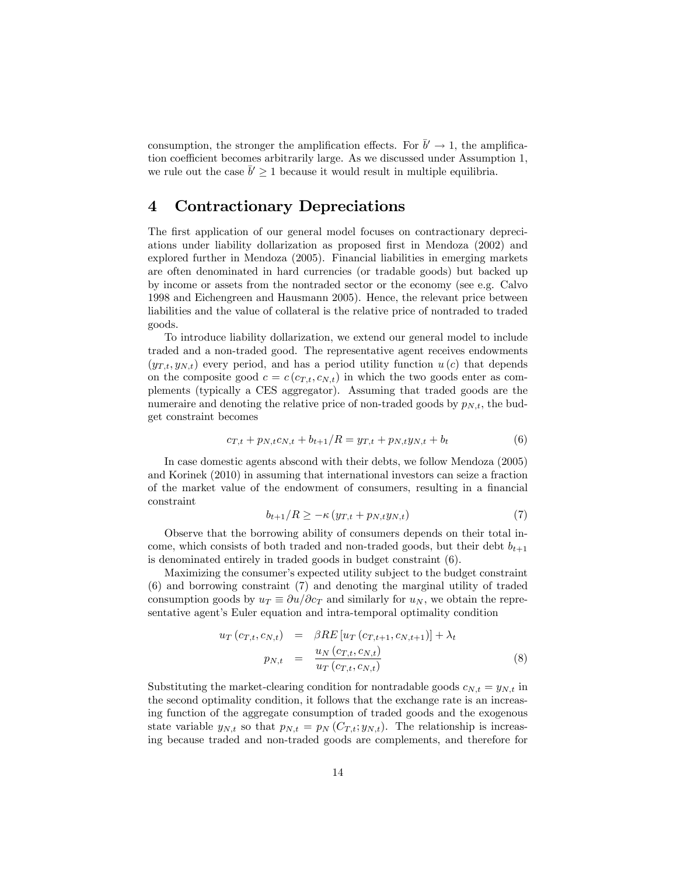consumption, the stronger the amplification effects. For  $\bar{b}' \to 1$ , the amplification coefficient becomes arbitrarily large. As we discussed under Assumption 1, we rule out the case  $\bar{b}' \ge 1$  because it would result in multiple equilibria.

# 4 Contractionary Depreciations

The first application of our general model focuses on contractionary depreciations under liability dollarization as proposed first in Mendoza (2002) and explored further in Mendoza (2005). Financial liabilities in emerging markets are often denominated in hard currencies (or tradable goods) but backed up by income or assets from the nontraded sector or the economy (see e.g. Calvo 1998 and Eichengreen and Hausmann 2005). Hence, the relevant price between liabilities and the value of collateral is the relative price of nontraded to traded goods.

To introduce liability dollarization, we extend our general model to include traded and a non-traded good. The representative agent receives endowments  $(y_{T,t}, y_{N,t})$  every period, and has a period utility function  $u(c)$  that depends on the composite good  $c = c(c_{T,t}, c_{N,t})$  in which the two goods enter as complements (typically a CES aggregator). Assuming that traded goods are the numeraire and denoting the relative price of non-traded goods by  $p_{N,t}$ , the budget constraint becomes

$$
c_{T,t} + p_{N,t}c_{N,t} + b_{t+1}/R = y_{T,t} + p_{N,t}y_{N,t} + b_t
$$
\n<sup>(6)</sup>

In case domestic agents abscond with their debts, we follow Mendoza (2005) and Korinek (2010) in assuming that international investors can seize a fraction of the market value of the endowment of consumers, resulting in a financial constraint

$$
b_{t+1}/R \geq -\kappa \left( y_{T,t} + p_{N,t} y_{N,t} \right) \tag{7}
$$

Observe that the borrowing ability of consumers depends on their total income, which consists of both traded and non-traded goods, but their debt  $b_{t+1}$ is denominated entirely in traded goods in budget constraint (6).

Maximizing the consumer's expected utility subject to the budget constraint (6) and borrowing constraint (7) and denoting the marginal utility of traded consumption goods by  $u_T \equiv \partial u/\partial c_T$  and similarly for  $u_N$ , we obtain the representative agent's Euler equation and intra-temporal optimality condition

$$
u_T(c_{T,t}, c_{N,t}) = \beta RE[u_T(c_{T,t+1}, c_{N,t+1})] + \lambda_t
$$
  
\n
$$
p_{N,t} = \frac{u_N(c_{T,t}, c_{N,t})}{u_T(c_{T,t}, c_{N,t})}
$$
\n(8)

Substituting the market-clearing condition for nontradable goods  $c_{N,t} = y_{N,t}$  in the second optimality condition, it follows that the exchange rate is an increasing function of the aggregate consumption of traded goods and the exogenous state variable  $y_{N,t}$  so that  $p_{N,t} = p_N (C_{T,t}; y_{N,t})$ . The relationship is increasing because traded and non-traded goods are complements, and therefore for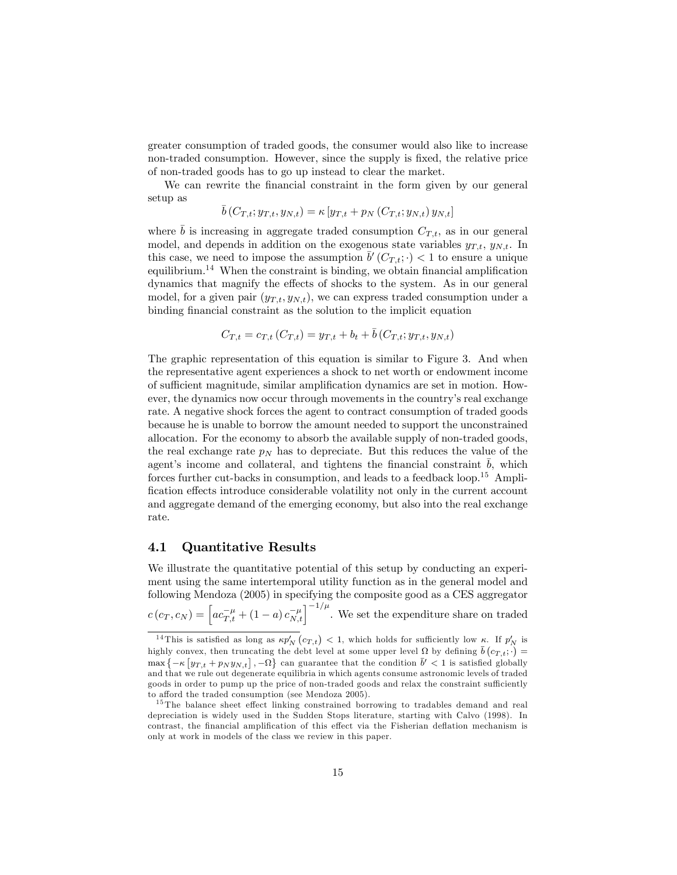greater consumption of traded goods, the consumer would also like to increase non-traded consumption. However, since the supply is fixed, the relative price of non-traded goods has to go up instead to clear the market.

We can rewrite the financial constraint in the form given by our general setup as

$$
\bar{b}(C_{T,t}; y_{T,t}, y_{N,t}) = \kappa [y_{T,t} + p_N(C_{T,t}; y_{N,t}) y_{N,t}]
$$

where  $\bar{b}$  is increasing in aggregate traded consumption  $C_{T,t}$ , as in our general model, and depends in addition on the exogenous state variables  $y_{T,t}$ ,  $y_{N,t}$ . In this case, we need to impose the assumption  $\bar{b}'(C_{T,t}; \cdot) < 1$  to ensure a unique equilibrium.<sup>14</sup> When the constraint is binding, we obtain financial amplification dynamics that magnify the effects of shocks to the system. As in our general model, for a given pair  $(y_{T,t}, y_{N,t})$ , we can express traded consumption under a binding financial constraint as the solution to the implicit equation

$$
C_{T,t} = c_{T,t} (C_{T,t}) = y_{T,t} + b_t + \bar{b} (C_{T,t}; y_{T,t}, y_{N,t})
$$

The graphic representation of this equation is similar to Figure 3. And when the representative agent experiences a shock to net worth or endowment income of sufficient magnitude, similar amplification dynamics are set in motion. However, the dynamics now occur through movements in the countryís real exchange rate. A negative shock forces the agent to contract consumption of traded goods because he is unable to borrow the amount needed to support the unconstrained allocation. For the economy to absorb the available supply of non-traded goods, the real exchange rate  $p_N$  has to depreciate. But this reduces the value of the agent's income and collateral, and tightens the financial constraint  $\bar{b}$ , which forces further cut-backs in consumption, and leads to a feedback loop.<sup>15</sup> Amplification effects introduce considerable volatility not only in the current account and aggregate demand of the emerging economy, but also into the real exchange rate.

#### 4.1 Quantitative Results

We illustrate the quantitative potential of this setup by conducting an experiment using the same intertemporal utility function as in the general model and following Mendoza (2005) in specifying the composite good as a CES aggregator  $c(c_T, c_N) = \left[ac_{T,t}^{-\mu} + (1-a)c_{N,t}^{-\mu}\right]^{-1/\mu}$ . We set the expenditure share on traded

<sup>&</sup>lt;sup>14</sup>This is satisfied as long as  $\kappa p_N'(c_{T,t}) < 1$ , which holds for sufficiently low  $\kappa$ . If  $p_N'$  is highly convex, then truncating the debt level at some upper level  $\Omega$  by defining  $\bar{b}(c_{T,t}; \cdot)$  $\max \{-\kappa \left[ y_{T,t} + p_N y_{N,t} \right], -\Omega \}$  can guarantee that the condition  $\bar{b}' < 1$  is satisfied globally and that we rule out degenerate equilibria in which agents consume astronomic levels of traded goods in order to pump up the price of non-traded goods and relax the constraint sufficiently to afford the traded consumption (see Mendoza 2005).

 $15$  The balance sheet effect linking constrained borrowing to tradables demand and real depreciation is widely used in the Sudden Stops literature, starting with Calvo (1998). In contrast, the financial amplification of this effect via the Fisherian deflation mechanism is only at work in models of the class we review in this paper.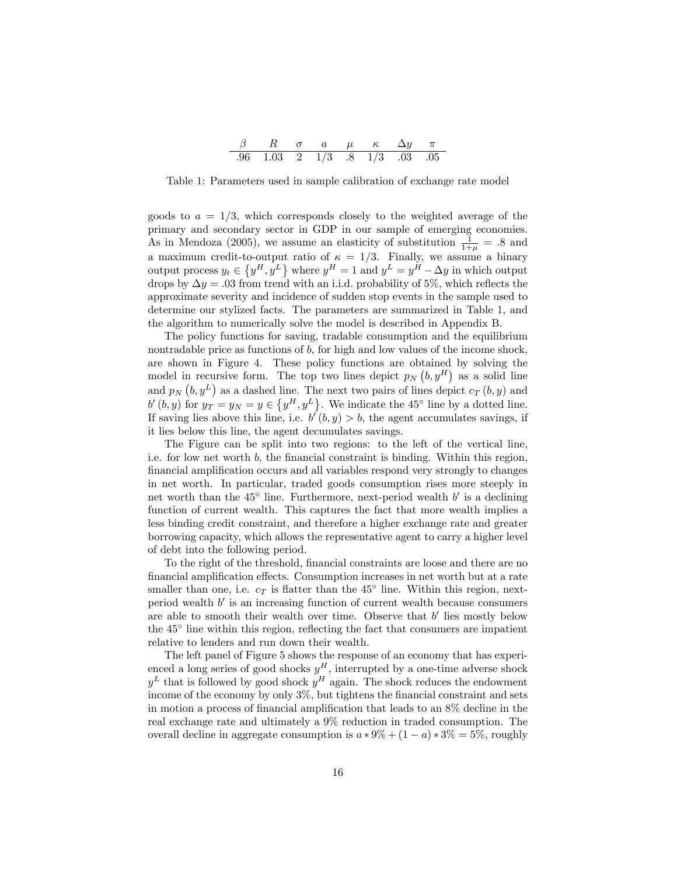| $96 \quad 103 \quad 2 \quad 1/3$ |  | $.8 \quad 1/3 \quad .03 \quad .05$ |  |
|----------------------------------|--|------------------------------------|--|

Table 1: Parameters used in sample calibration of exchange rate model

goods to  $a = 1/3$ , which corresponds closely to the weighted average of the primary and secondary sector in GDP in our sample of emerging economies. As in Mendoza (2005), we assume an elasticity of substitution  $\frac{1}{1+\mu} = .8$  and a maximum credit-to-output ratio of  $\kappa = 1/3$ . Finally, we assume a binary output process  $y_t \in \left\{y^H, y^L\right\}$  where  $y^H = 1$  and  $y^L = y^H - \Delta y$  in which output drops by  $\Delta y = .03$  from trend with an i.i.d. probability of 5%, which reflects the approximate severity and incidence of sudden stop events in the sample used to determine our stylized facts. The parameters are summarized in Table 1, and the algorithm to numerically solve the model is described in Appendix B.

The policy functions for saving, tradable consumption and the equilibrium nontradable price as functions of b, for high and low values of the income shock, are shown in Figure 4. These policy functions are obtained by solving the model in recursive form. The top two lines depict  $p_N(b, y^H)$  as a solid line and  $p_N(b, y^L)$  as a dashed line. The next two pairs of lines depict  $c_T(b, y)$  and  $b'(b, y)$  for  $y_T = y_N = y \in \{y^H, y^L\}$ . We indicate the 45<sup>°</sup> line by a dotted line. If saving lies above this line, i.e.  $b'(b, y) > b$ , the agent accumulates savings, if it lies below this line, the agent decumulates savings.

The Figure can be split into two regions: to the left of the vertical line, i.e. for low net worth  $b$ , the financial constraint is binding. Within this region, financial amplification occurs and all variables respond very strongly to changes in net worth. In particular, traded goods consumption rises more steeply in net worth than the  $45^{\circ}$  line. Furthermore, next-period wealth  $b'$  is a declining function of current wealth. This captures the fact that more wealth implies a less binding credit constraint, and therefore a higher exchange rate and greater borrowing capacity, which allows the representative agent to carry a higher level of debt into the following period.

To the right of the threshold, Önancial constraints are loose and there are no financial amplification effects. Consumption increases in net worth but at a rate smaller than one, i.e.  $c_T$  is flatter than the 45<sup>°</sup> line. Within this region, nextperiod wealth  $b'$  is an increasing function of current wealth because consumers are able to smooth their wealth over time. Observe that  $b'$  lies mostly below the  $45^{\circ}$  line within this region, reflecting the fact that consumers are impatient relative to lenders and run down their wealth.

The left panel of Figure 5 shows the response of an economy that has experienced a long series of good shocks  $y^H$ , interrupted by a one-time adverse shock  $y<sup>L</sup>$  that is followed by good shock  $y<sup>H</sup>$  again. The shock reduces the endowment income of the economy by only  $3\%$ , but tightens the financial constraint and sets in motion a process of financial amplification that leads to an  $8\%$  decline in the real exchange rate and ultimately a 9% reduction in traded consumption. The overall decline in aggregate consumption is  $a * 9\% + (1 - a) * 3\% = 5\%$ , roughly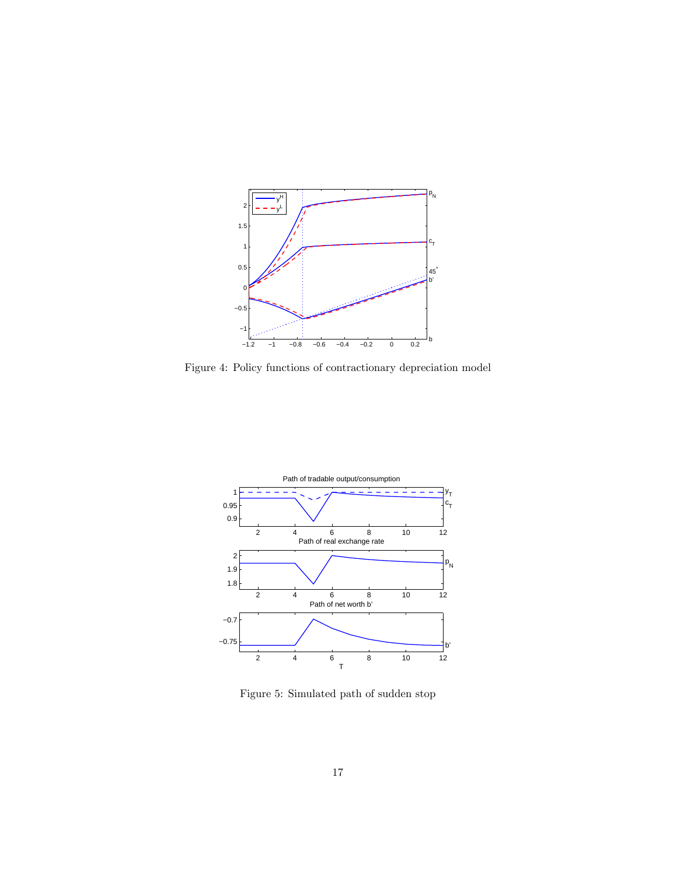

Figure 4: Policy functions of contractionary depreciation model



Figure 5: Simulated path of sudden stop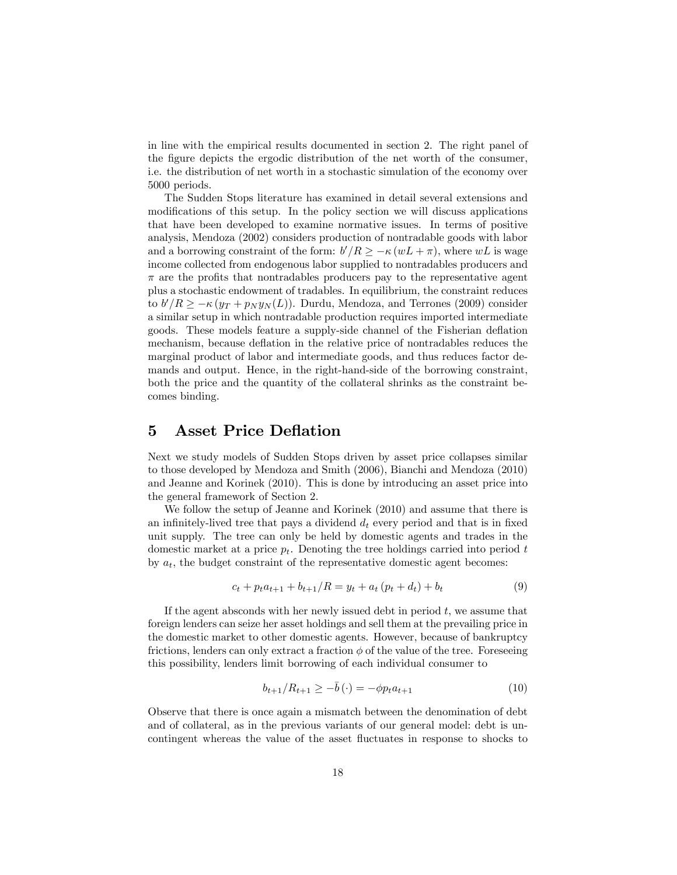in line with the empirical results documented in section 2. The right panel of the figure depicts the ergodic distribution of the net worth of the consumer, i.e. the distribution of net worth in a stochastic simulation of the economy over 5000 periods.

The Sudden Stops literature has examined in detail several extensions and modifications of this setup. In the policy section we will discuss applications that have been developed to examine normative issues. In terms of positive analysis, Mendoza (2002) considers production of nontradable goods with labor and a borrowing constraint of the form:  $b'/R \geq -\kappa (wL + \pi)$ , where  $wL$  is wage income collected from endogenous labor supplied to nontradables producers and  $\pi$  are the profits that nontradables producers pay to the representative agent plus a stochastic endowment of tradables. In equilibrium, the constraint reduces to  $b'/R \geq -\kappa (y_T + p_N y_N(L))$ . Durdu, Mendoza, and Terrones (2009) consider a similar setup in which nontradable production requires imported intermediate goods. These models feature a supply-side channel of the Fisherian deáation mechanism, because deflation in the relative price of nontradables reduces the marginal product of labor and intermediate goods, and thus reduces factor demands and output. Hence, in the right-hand-side of the borrowing constraint, both the price and the quantity of the collateral shrinks as the constraint becomes binding.

### 5 Asset Price Deflation

Next we study models of Sudden Stops driven by asset price collapses similar to those developed by Mendoza and Smith (2006), Bianchi and Mendoza (2010) and Jeanne and Korinek (2010). This is done by introducing an asset price into the general framework of Section 2.

We follow the setup of Jeanne and Korinek (2010) and assume that there is an infinitely-lived tree that pays a dividend  $d_t$  every period and that is in fixed unit supply. The tree can only be held by domestic agents and trades in the domestic market at a price  $p_t$ . Denoting the tree holdings carried into period t by  $a_t$ , the budget constraint of the representative domestic agent becomes:

$$
c_t + p_t a_{t+1} + b_{t+1}/R = y_t + a_t (p_t + d_t) + b_t
$$
\n<sup>(9)</sup>

If the agent absconds with her newly issued debt in period  $t$ , we assume that foreign lenders can seize her asset holdings and sell them at the prevailing price in the domestic market to other domestic agents. However, because of bankruptcy frictions, lenders can only extract a fraction  $\phi$  of the value of the tree. Foreseeing this possibility, lenders limit borrowing of each individual consumer to

$$
b_{t+1}/R_{t+1} \ge -\bar{b}(\cdot) = -\phi p_t a_{t+1} \tag{10}
$$

Observe that there is once again a mismatch between the denomination of debt and of collateral, as in the previous variants of our general model: debt is uncontingent whereas the value of the asset fluctuates in response to shocks to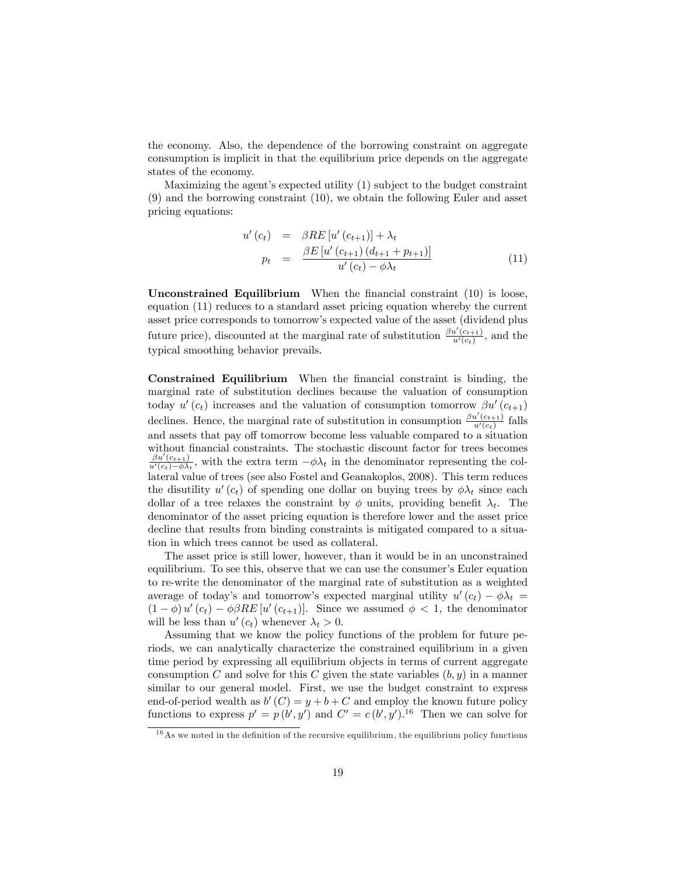the economy. Also, the dependence of the borrowing constraint on aggregate consumption is implicit in that the equilibrium price depends on the aggregate states of the economy.

Maximizing the agent's expected utility  $(1)$  subject to the budget constraint (9) and the borrowing constraint (10), we obtain the following Euler and asset pricing equations:

$$
u'(c_t) = \beta RE[u'(c_{t+1})] + \lambda_t \np_t = \frac{\beta E[u'(c_{t+1})(d_{t+1} + p_{t+1})]}{u'(c_t) - \phi \lambda_t}
$$
\n(11)

Unconstrained Equilibrium When the financial constraint  $(10)$  is loose, equation (11) reduces to a standard asset pricing equation whereby the current asset price corresponds to tomorrowís expected value of the asset (dividend plus future price), discounted at the marginal rate of substitution  $\frac{\beta u'(c_{t+1})}{u'(c_1)}$  $\frac{u(c_{t+1})}{u'(c_t)}$ , and the typical smoothing behavior prevails.

Constrained Equilibrium When the Önancial constraint is binding, the marginal rate of substitution declines because the valuation of consumption today  $u'(c_t)$  increases and the valuation of consumption tomorrow  $\beta u'(c_{t+1})$ declines. Hence, the marginal rate of substitution in consumption  $\frac{\beta u'(c_{t+1})}{u'(c)}$  $\frac{u(c_{t+1})}{u'(c_t)}$  falls and assets that pay off tomorrow become less valuable compared to a situation without financial constraints. The stochastic discount factor for trees becomes  $\beta u'(c_{t+1})$  $\frac{\partial u}{\partial u'(c_t) - \phi \lambda_t}$ , with the extra term  $-\phi \lambda_t$  in the denominator representing the collateral value of trees (see also Fostel and Geanakoplos, 2008). This term reduces the disutility  $u'(c_t)$  of spending one dollar on buying trees by  $\phi \lambda_t$  since each dollar of a tree relaxes the constraint by  $\phi$  units, providing benefit  $\lambda_t$ . The denominator of the asset pricing equation is therefore lower and the asset price decline that results from binding constraints is mitigated compared to a situation in which trees cannot be used as collateral.

The asset price is still lower, however, than it would be in an unconstrained equilibrium. To see this, observe that we can use the consumer's Euler equation to re-write the denominator of the marginal rate of substitution as a weighted average of today's and tomorrow's expected marginal utility  $u'(c_t) - \phi \lambda_t =$  $(1 - \phi) u'(c_t) - \phi \beta RE[u'(c_{t+1})]$ . Since we assumed  $\phi < 1$ , the denominator will be less than  $u'(c_t)$  whenever  $\lambda_t > 0$ .

Assuming that we know the policy functions of the problem for future periods, we can analytically characterize the constrained equilibrium in a given time period by expressing all equilibrium objects in terms of current aggregate consumption C and solve for this C given the state variables  $(b, y)$  in a manner similar to our general model. First, we use the budget constraint to express end-of-period wealth as  $b'(C) = y + b + C$  and employ the known future policy functions to express  $p' = p(b', y')$  and  $C' = c(b', y')$ .<sup>16</sup> Then we can solve for

 $16$ As we noted in the definition of the recursive equilibrium, the equilibrium policy functions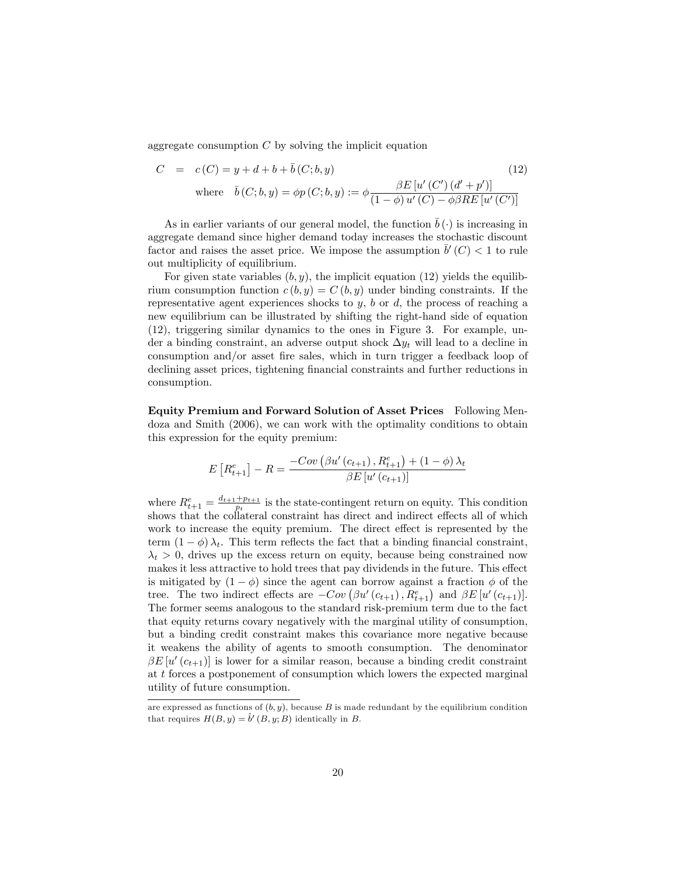aggregate consumption  $C$  by solving the implicit equation

$$
C = c(C) = y + d + b + \bar{b}(C; b, y)
$$
(12)  
where  $\bar{b}(C; b, y) = \phi p(C; b, y) := \phi \frac{\beta E[u'(C')(d' + p')]}{(1 - \phi)u'(C) - \phi \beta RE[u'(C')]}$ 

As in earlier variants of our general model, the function  $\bar{b}(\cdot)$  is increasing in aggregate demand since higher demand today increases the stochastic discount factor and raises the asset price. We impose the assumption  $\bar{b}'(C) < 1$  to rule out multiplicity of equilibrium.

For given state variables  $(b, y)$ , the implicit equation (12) yields the equilibrium consumption function  $c (b, y) = C (b, y)$  under binding constraints. If the representative agent experiences shocks to  $y$ ,  $b$  or  $d$ , the process of reaching a new equilibrium can be illustrated by shifting the right-hand side of equation (12), triggering similar dynamics to the ones in Figure 3. For example, under a binding constraint, an adverse output shock  $\Delta y_t$  will lead to a decline in consumption and/or asset fire sales, which in turn trigger a feedback loop of declining asset prices, tightening financial constraints and further reductions in consumption.

Equity Premium and Forward Solution of Asset Prices Following Mendoza and Smith (2006), we can work with the optimality conditions to obtain this expression for the equity premium:

$$
E\left[R_{t+1}^{e}\right] - R = \frac{-Cov\left(\beta u'\left(c_{t+1}\right), R_{t+1}^{e}\right) + (1 - \phi)\lambda_{t}}{\beta E\left[u'\left(c_{t+1}\right)\right]}
$$

where  $R_{t+1}^e = \frac{d_{t+1} + p_{t+1}}{p_t}$  $\frac{p_t+p_{t+1}}{p_t}$  is the state-contingent return on equity. This condition shows that the collateral constraint has direct and indirect effects all of which work to increase the equity premium. The direct effect is represented by the term  $(1 - \phi) \lambda_t$ . This term reflects the fact that a binding financial constraint,  $\lambda_t > 0$ , drives up the excess return on equity, because being constrained now makes it less attractive to hold trees that pay dividends in the future. This effect is mitigated by  $(1 - \phi)$  since the agent can borrow against a fraction  $\phi$  of the tree. The two indirect effects are  $-Cov(\beta u'(c_{t+1}), R_{t+1}^e)$  and  $\beta E[u'(c_{t+1})]$ . The former seems analogous to the standard risk-premium term due to the fact that equity returns covary negatively with the marginal utility of consumption, but a binding credit constraint makes this covariance more negative because it weakens the ability of agents to smooth consumption. The denominator  $\beta E[u'(c_{t+1})]$  is lower for a similar reason, because a binding credit constraint at  $t$  forces a postponement of consumption which lowers the expected marginal utility of future consumption.

are expressed as functions of  $(b, y)$ , because B is made redundant by the equilibrium condition that requires  $H(B, y) = \hat{b}'(B, y; B)$  identically in B.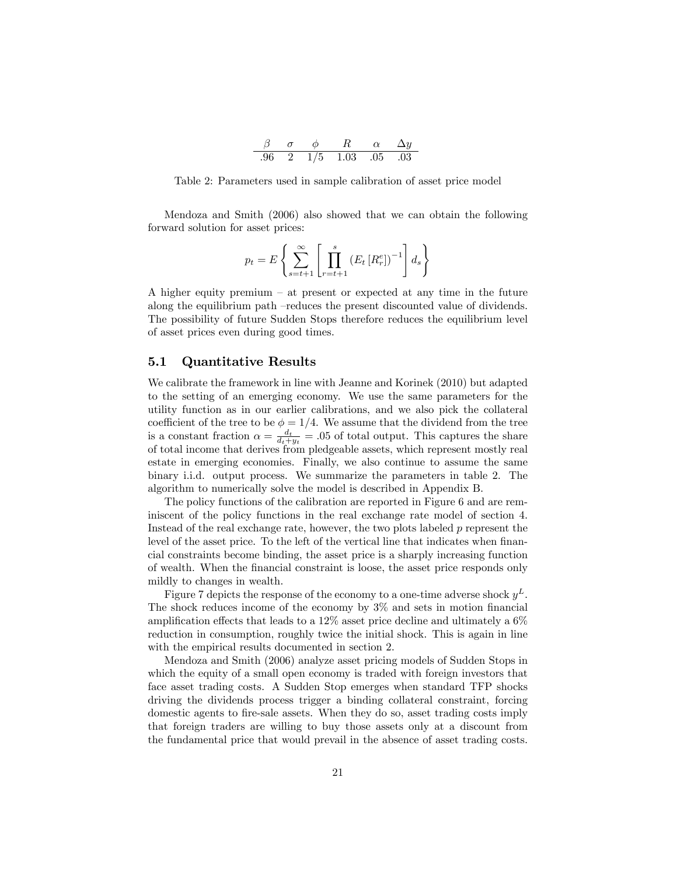|      |     |      | $\alpha$ |            |
|------|-----|------|----------|------------|
| - 96 | 1/5 | 1.03 | - 05 -   | $\Box$ 0.3 |

Table 2: Parameters used in sample calibration of asset price model

Mendoza and Smith (2006) also showed that we can obtain the following forward solution for asset prices:

$$
p_t = E\left\{\sum_{s=t+1}^{\infty} \left[\prod_{r=t+1}^{s} \left(E_t\left[R_r^e\right]\right)^{-1}\right] d_s\right\}
$$

A higher equity premium  $-$  at present or expected at any time in the future along the equilibrium path –reduces the present discounted value of dividends. The possibility of future Sudden Stops therefore reduces the equilibrium level of asset prices even during good times.

#### 5.1 Quantitative Results

We calibrate the framework in line with Jeanne and Korinek (2010) but adapted to the setting of an emerging economy. We use the same parameters for the utility function as in our earlier calibrations, and we also pick the collateral coefficient of the tree to be  $\phi = 1/4$ . We assume that the dividend from the tree is a constant fraction  $\alpha = \frac{d_t}{d_t+y_t} = .05$  of total output. This captures the share of total income that derives from pledgeable assets, which represent mostly real estate in emerging economies. Finally, we also continue to assume the same binary i.i.d. output process. We summarize the parameters in table 2. The algorithm to numerically solve the model is described in Appendix B.

The policy functions of the calibration are reported in Figure 6 and are reminiscent of the policy functions in the real exchange rate model of section 4. Instead of the real exchange rate, however, the two plots labeled  $p$  represent the level of the asset price. To the left of the vertical line that indicates when financial constraints become binding, the asset price is a sharply increasing function of wealth. When the Önancial constraint is loose, the asset price responds only mildly to changes in wealth.

Figure 7 depicts the response of the economy to a one-time adverse shock  $y^L$ . The shock reduces income of the economy by  $3\%$  and sets in motion financial amplification effects that leads to a  $12\%$  asset price decline and ultimately a  $6\%$ reduction in consumption, roughly twice the initial shock. This is again in line with the empirical results documented in section 2.

Mendoza and Smith (2006) analyze asset pricing models of Sudden Stops in which the equity of a small open economy is traded with foreign investors that face asset trading costs. A Sudden Stop emerges when standard TFP shocks driving the dividends process trigger a binding collateral constraint, forcing domestic agents to Öre-sale assets. When they do so, asset trading costs imply that foreign traders are willing to buy those assets only at a discount from the fundamental price that would prevail in the absence of asset trading costs.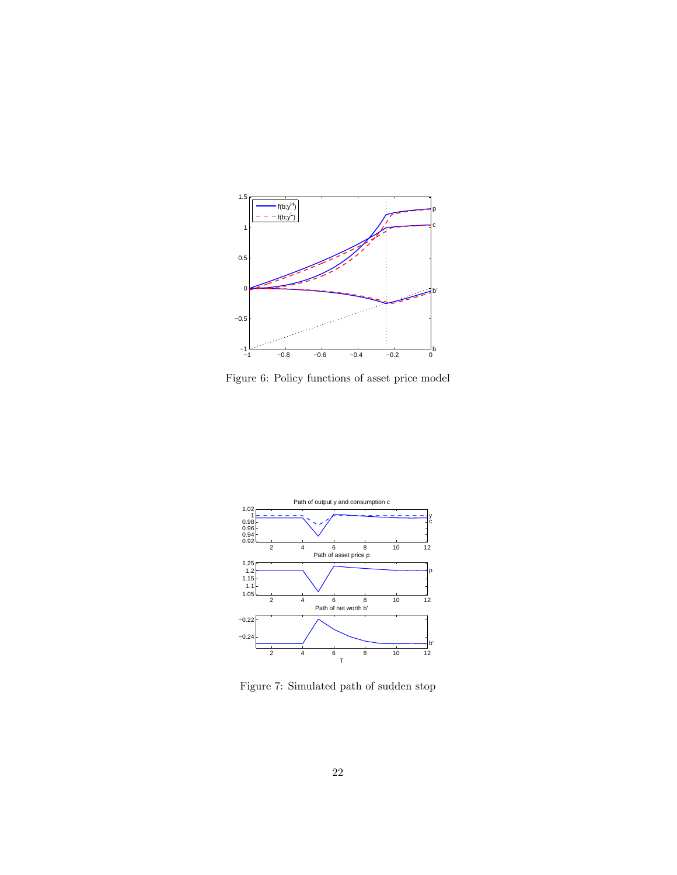

Figure 6: Policy functions of asset price model



Figure 7: Simulated path of sudden stop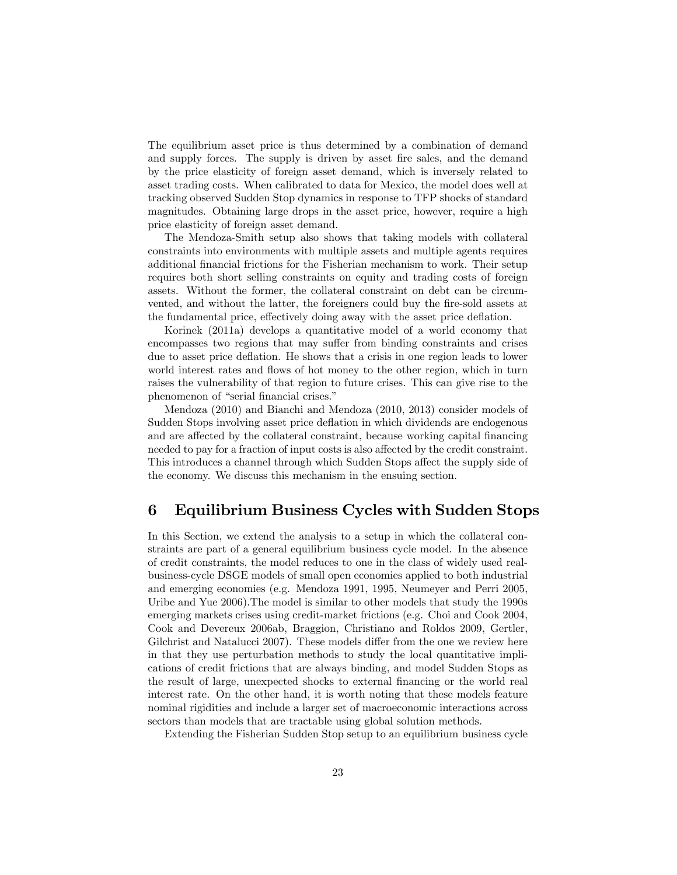The equilibrium asset price is thus determined by a combination of demand and supply forces. The supply is driven by asset fire sales, and the demand by the price elasticity of foreign asset demand, which is inversely related to asset trading costs. When calibrated to data for Mexico, the model does well at tracking observed Sudden Stop dynamics in response to TFP shocks of standard magnitudes. Obtaining large drops in the asset price, however, require a high price elasticity of foreign asset demand.

The Mendoza-Smith setup also shows that taking models with collateral constraints into environments with multiple assets and multiple agents requires additional Önancial frictions for the Fisherian mechanism to work. Their setup requires both short selling constraints on equity and trading costs of foreign assets. Without the former, the collateral constraint on debt can be circumvented, and without the latter, the foreigners could buy the fire-sold assets at the fundamental price, effectively doing away with the asset price deflation.

Korinek (2011a) develops a quantitative model of a world economy that encompasses two regions that may suffer from binding constraints and crises due to asset price deflation. He shows that a crisis in one region leads to lower world interest rates and flows of hot money to the other region, which in turn raises the vulnerability of that region to future crises. This can give rise to the phenomenon of "serial financial crises."

Mendoza (2010) and Bianchi and Mendoza (2010, 2013) consider models of Sudden Stops involving asset price deflation in which dividends are endogenous and are affected by the collateral constraint, because working capital financing needed to pay for a fraction of input costs is also affected by the credit constraint. This introduces a channel through which Sudden Stops affect the supply side of the economy. We discuss this mechanism in the ensuing section.

## 6 Equilibrium Business Cycles with Sudden Stops

In this Section, we extend the analysis to a setup in which the collateral constraints are part of a general equilibrium business cycle model. In the absence of credit constraints, the model reduces to one in the class of widely used realbusiness-cycle DSGE models of small open economies applied to both industrial and emerging economies (e.g. Mendoza 1991, 1995, Neumeyer and Perri 2005, Uribe and Yue 2006).The model is similar to other models that study the 1990s emerging markets crises using credit-market frictions (e.g. Choi and Cook 2004, Cook and Devereux 2006ab, Braggion, Christiano and Roldos 2009, Gertler, Gilchrist and Natalucci 2007). These models differ from the one we review here in that they use perturbation methods to study the local quantitative implications of credit frictions that are always binding, and model Sudden Stops as the result of large, unexpected shocks to external financing or the world real interest rate. On the other hand, it is worth noting that these models feature nominal rigidities and include a larger set of macroeconomic interactions across sectors than models that are tractable using global solution methods.

Extending the Fisherian Sudden Stop setup to an equilibrium business cycle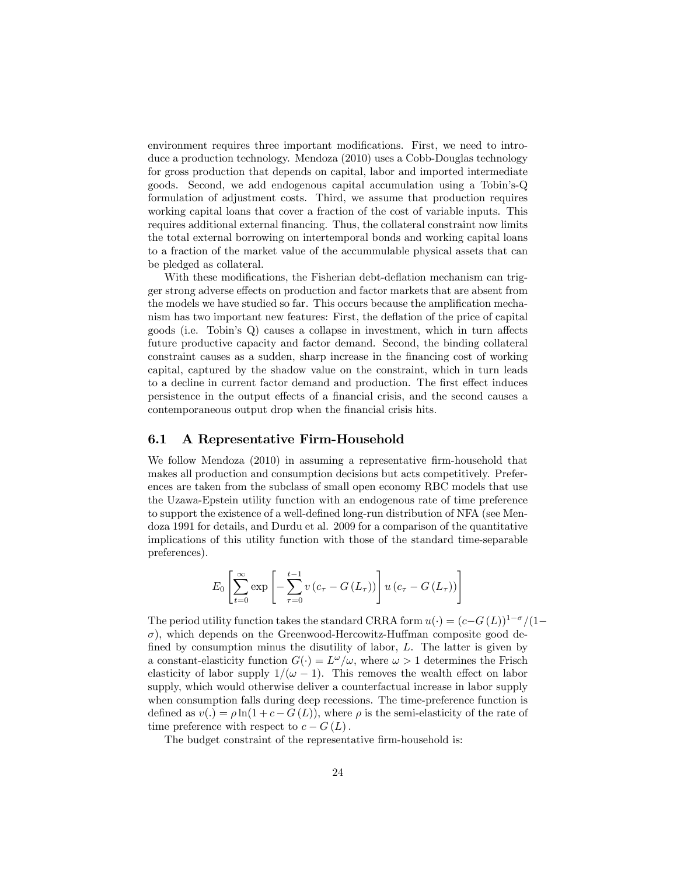environment requires three important modifications. First, we need to introduce a production technology. Mendoza (2010) uses a Cobb-Douglas technology for gross production that depends on capital, labor and imported intermediate goods. Second, we add endogenous capital accumulation using a Tobinís-Q formulation of adjustment costs. Third, we assume that production requires working capital loans that cover a fraction of the cost of variable inputs. This requires additional external financing. Thus, the collateral constraint now limits the total external borrowing on intertemporal bonds and working capital loans to a fraction of the market value of the accummulable physical assets that can be pledged as collateral.

With these modifications, the Fisherian debt-deflation mechanism can trigger strong adverse effects on production and factor markets that are absent from the models we have studied so far. This occurs because the amplification mechanism has two important new features: First, the deflation of the price of capital goods (i.e. Tobin's  $Q$ ) causes a collapse in investment, which in turn affects future productive capacity and factor demand. Second, the binding collateral constraint causes as a sudden, sharp increase in the financing cost of working capital, captured by the shadow value on the constraint, which in turn leads to a decline in current factor demand and production. The first effect induces persistence in the output effects of a financial crisis, and the second causes a contemporaneous output drop when the financial crisis hits.

#### 6.1 A Representative Firm-Household

We follow Mendoza  $(2010)$  in assuming a representative firm-household that makes all production and consumption decisions but acts competitively. Preferences are taken from the subclass of small open economy RBC models that use the Uzawa-Epstein utility function with an endogenous rate of time preference to support the existence of a well-defined long-run distribution of NFA (see Mendoza 1991 for details, and Durdu et al. 2009 for a comparison of the quantitative implications of this utility function with those of the standard time-separable preferences).

$$
E_0 \left[ \sum_{t=0}^{\infty} \exp \left[ - \sum_{\tau=0}^{t-1} v \left( c_{\tau} - G \left( L_{\tau} \right) \right) \right] u \left( c_{\tau} - G \left( L_{\tau} \right) \right) \right]
$$

The period utility function takes the standard CRRA form  $u(\cdot) = (c-G(L))^{1-\sigma}/(1-\sigma)$  $\sigma$ ), which depends on the Greenwood-Hercowitz-Huffman composite good defined by consumption minus the disutility of labor,  $L$ . The latter is given by a constant-elasticity function  $G(\cdot) = L^{\omega}/\omega$ , where  $\omega > 1$  determines the Frisch elasticity of labor supply  $1/(\omega - 1)$ . This removes the wealth effect on labor supply, which would otherwise deliver a counterfactual increase in labor supply when consumption falls during deep recessions. The time-preference function is defined as  $v(.) = \rho \ln(1 + c - G(L))$ , where  $\rho$  is the semi-elasticity of the rate of time preference with respect to  $c - G(L)$ .

The budget constraint of the representative firm-household is: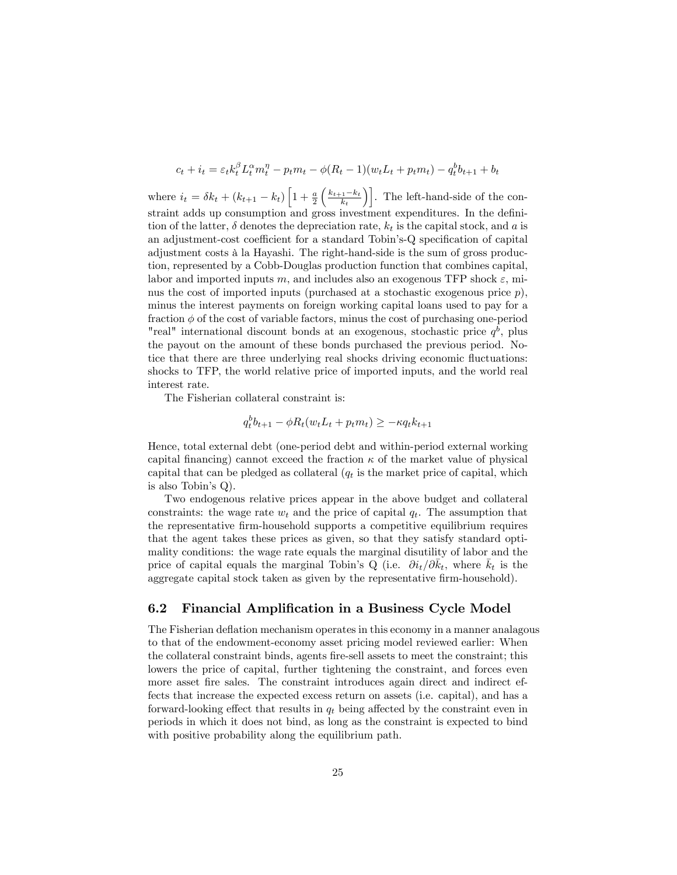$$
c_t + i_t = \varepsilon_t k_t^{\beta} L_t^{\alpha} m_t^{\eta} - p_t m_t - \phi (R_t - 1)(w_t L_t + p_t m_t) - q_t^b b_{t+1} + b_t
$$

where  $i_t = \delta k_t + (k_{t+1} - k_t) \left[ 1 + \frac{a}{2} \right]$  $\left(\frac{k_{t+1}-k_t}{k_t}\right)$ . The left-hand-side of the constraint adds up consumption and gross investment expenditures. In the definition of the latter,  $\delta$  denotes the depreciation rate,  $k_t$  is the capital stock, and a is an adjustment-cost coefficient for a standard Tobin's-Q specification of capital adjustment costs à la Hayashi. The right-hand-side is the sum of gross production, represented by a Cobb-Douglas production function that combines capital, labor and imported inputs m, and includes also an exogenous TFP shock  $\varepsilon$ , minus the cost of imported inputs (purchased at a stochastic exogenous price  $p$ ), minus the interest payments on foreign working capital loans used to pay for a fraction  $\phi$  of the cost of variable factors, minus the cost of purchasing one-period "real" international discount bonds at an exogenous, stochastic price  $q<sup>b</sup>$ , plus the payout on the amount of these bonds purchased the previous period. Notice that there are three underlying real shocks driving economic fluctuations: shocks to TFP, the world relative price of imported inputs, and the world real interest rate.

The Fisherian collateral constraint is:

$$
q_t^b b_{t+1} - \phi R_t(w_t L_t + p_t m_t) \geq -\kappa q_t k_{t+1}
$$

Hence, total external debt (one-period debt and within-period external working capital financing) cannot exceed the fraction  $\kappa$  of the market value of physical capital that can be pledged as collateral  $(q_t)$  is the market price of capital, which is also Tobin's  $Q$ ).

Two endogenous relative prices appear in the above budget and collateral constraints: the wage rate  $w_t$  and the price of capital  $q_t$ . The assumption that the representative firm-household supports a competitive equilibrium requires that the agent takes these prices as given, so that they satisfy standard optimality conditions: the wage rate equals the marginal disutility of labor and the price of capital equals the marginal Tobin's Q (i.e.  $\partial i_t/\partial \bar{k}_t$ , where  $\bar{k}_t$  is the aggregate capital stock taken as given by the representative firm-household).

#### 6.2 Financial Amplification in a Business Cycle Model

The Fisherian deflation mechanism operates in this economy in a manner analagous to that of the endowment-economy asset pricing model reviewed earlier: When the collateral constraint binds, agents Öre-sell assets to meet the constraint; this lowers the price of capital, further tightening the constraint, and forces even more asset fire sales. The constraint introduces again direct and indirect effects that increase the expected excess return on assets (i.e. capital), and has a forward-looking effect that results in  $q_t$  being affected by the constraint even in periods in which it does not bind, as long as the constraint is expected to bind with positive probability along the equilibrium path.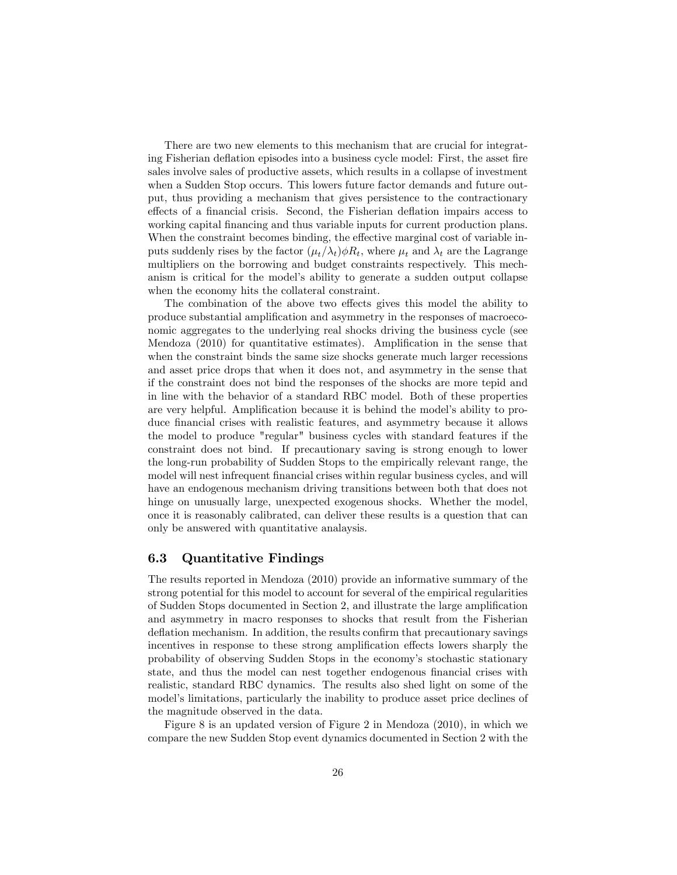There are two new elements to this mechanism that are crucial for integrating Fisherian deflation episodes into a business cycle model: First, the asset fire sales involve sales of productive assets, which results in a collapse of investment when a Sudden Stop occurs. This lowers future factor demands and future output, thus providing a mechanism that gives persistence to the contractionary effects of a financial crisis. Second, the Fisherian deflation impairs access to working capital financing and thus variable inputs for current production plans. When the constraint becomes binding, the effective marginal cost of variable inputs suddenly rises by the factor  $(\mu_t/\lambda_t)\phi R_t$ , where  $\mu_t$  and  $\lambda_t$  are the Lagrange multipliers on the borrowing and budget constraints respectively. This mechanism is critical for the modelís ability to generate a sudden output collapse when the economy hits the collateral constraint.

The combination of the above two effects gives this model the ability to produce substantial amplification and asymmetry in the responses of macroeconomic aggregates to the underlying real shocks driving the business cycle (see Mendoza  $(2010)$  for quantitative estimates). Amplification in the sense that when the constraint binds the same size shocks generate much larger recessions and asset price drops that when it does not, and asymmetry in the sense that if the constraint does not bind the responses of the shocks are more tepid and in line with the behavior of a standard RBC model. Both of these properties are very helpful. Amplification because it is behind the model's ability to produce financial crises with realistic features, and asymmetry because it allows the model to produce "regular" business cycles with standard features if the constraint does not bind. If precautionary saving is strong enough to lower the long-run probability of Sudden Stops to the empirically relevant range, the model will nest infrequent financial crises within regular business cycles, and will have an endogenous mechanism driving transitions between both that does not hinge on unusually large, unexpected exogenous shocks. Whether the model, once it is reasonably calibrated, can deliver these results is a question that can only be answered with quantitative analaysis.

#### 6.3 Quantitative Findings

The results reported in Mendoza (2010) provide an informative summary of the strong potential for this model to account for several of the empirical regularities of Sudden Stops documented in Section 2, and illustrate the large amplification and asymmetry in macro responses to shocks that result from the Fisherian deflation mechanism. In addition, the results confirm that precautionary savings incentives in response to these strong amplification effects lowers sharply the probability of observing Sudden Stops in the economyís stochastic stationary state, and thus the model can nest together endogenous financial crises with realistic, standard RBC dynamics. The results also shed light on some of the model's limitations, particularly the inability to produce asset price declines of the magnitude observed in the data.

Figure 8 is an updated version of Figure 2 in Mendoza (2010), in which we compare the new Sudden Stop event dynamics documented in Section 2 with the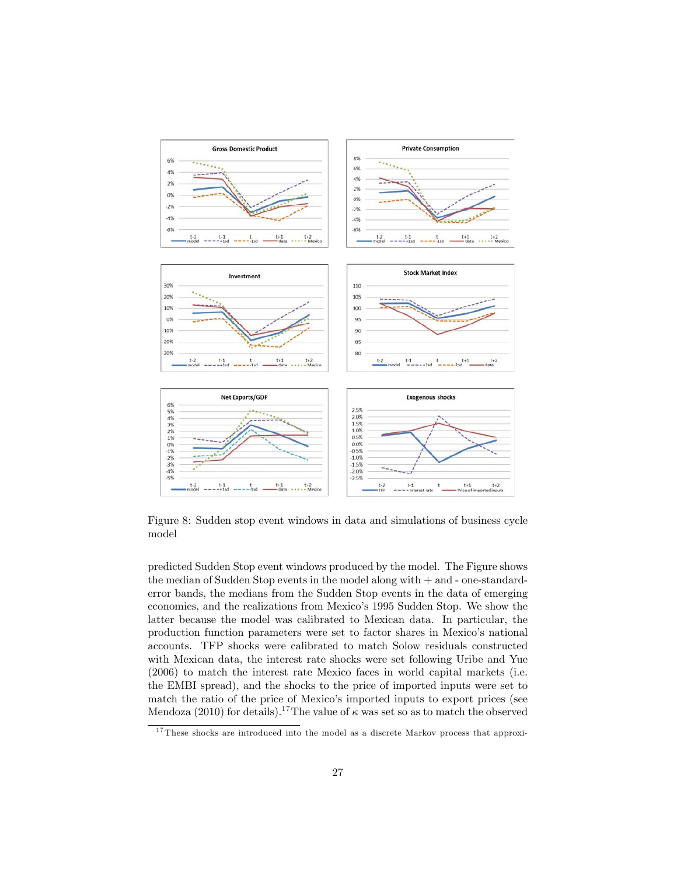

Figure 8: Sudden stop event windows in data and simulations of business cycle model

predicted Sudden Stop event windows produced by the model. The Figure shows the median of Sudden Stop events in the model along with + and - one-standarderror bands, the medians from the Sudden Stop events in the data of emerging economies, and the realizations from Mexico's 1995 Sudden Stop. We show the latter because the model was calibrated to Mexican data. In particular, the production function parameters were set to factor shares in Mexico's national accounts. TFP shocks were calibrated to match Solow residuals constructed with Mexican data, the interest rate shocks were set following Uribe and Yue (2006) to match the interest rate Mexico faces in world capital markets (i.e. the EMBI spread), and the shocks to the price of imported inputs were set to match the ratio of the price of Mexico's imported inputs to export prices (see Mendoza (2010) for details).<sup>17</sup>The value of  $\kappa$  was set so as to match the observed

<sup>&</sup>lt;sup>17</sup> These shocks are introduced into the model as a discrete Markov process that approxi-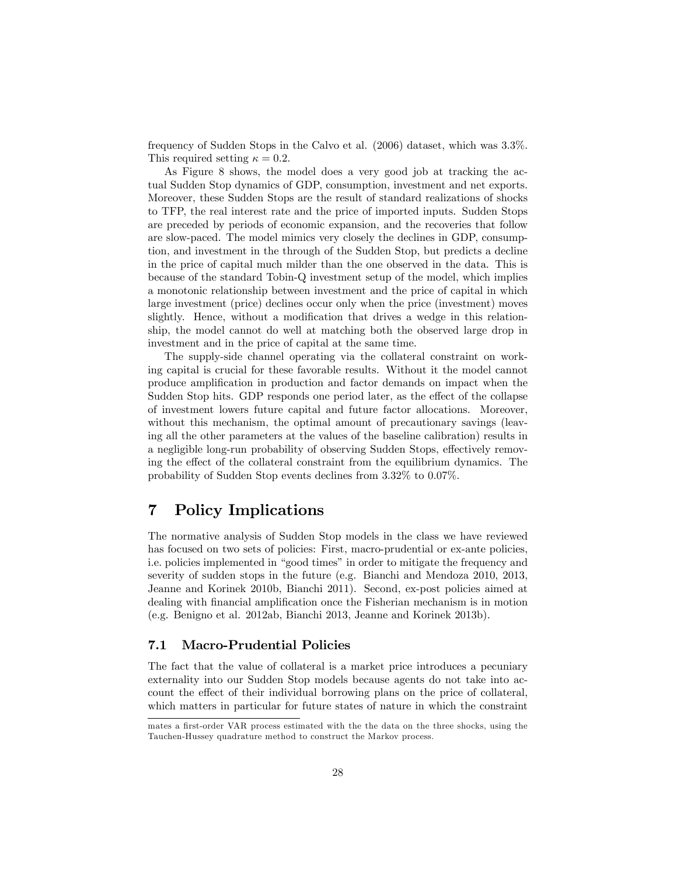frequency of Sudden Stops in the Calvo et al. (2006) dataset, which was 3.3%. This required setting  $\kappa = 0.2$ .

As Figure 8 shows, the model does a very good job at tracking the actual Sudden Stop dynamics of GDP, consumption, investment and net exports. Moreover, these Sudden Stops are the result of standard realizations of shocks to TFP, the real interest rate and the price of imported inputs. Sudden Stops are preceded by periods of economic expansion, and the recoveries that follow are slow-paced. The model mimics very closely the declines in GDP, consumption, and investment in the through of the Sudden Stop, but predicts a decline in the price of capital much milder than the one observed in the data. This is because of the standard Tobin-Q investment setup of the model, which implies a monotonic relationship between investment and the price of capital in which large investment (price) declines occur only when the price (investment) moves slightly. Hence, without a modification that drives a wedge in this relationship, the model cannot do well at matching both the observed large drop in investment and in the price of capital at the same time.

The supply-side channel operating via the collateral constraint on working capital is crucial for these favorable results. Without it the model cannot produce amplification in production and factor demands on impact when the Sudden Stop hits. GDP responds one period later, as the effect of the collapse of investment lowers future capital and future factor allocations. Moreover, without this mechanism, the optimal amount of precautionary savings (leaving all the other parameters at the values of the baseline calibration) results in a negligible long-run probability of observing Sudden Stops, effectively removing the effect of the collateral constraint from the equilibrium dynamics. The probability of Sudden Stop events declines from 3.32% to 0.07%.

### 7 Policy Implications

The normative analysis of Sudden Stop models in the class we have reviewed has focused on two sets of policies: First, macro-prudential or ex-ante policies, i.e. policies implemented in "good times" in order to mitigate the frequency and severity of sudden stops in the future (e.g. Bianchi and Mendoza 2010, 2013, Jeanne and Korinek 2010b, Bianchi 2011). Second, ex-post policies aimed at dealing with financial amplification once the Fisherian mechanism is in motion (e.g. Benigno et al. 2012ab, Bianchi 2013, Jeanne and Korinek 2013b).

#### 7.1 Macro-Prudential Policies

The fact that the value of collateral is a market price introduces a pecuniary externality into our Sudden Stop models because agents do not take into account the effect of their individual borrowing plans on the price of collateral, which matters in particular for future states of nature in which the constraint

mates a first-order VAR process estimated with the the data on the three shocks, using the Tauchen-Hussey quadrature method to construct the Markov process.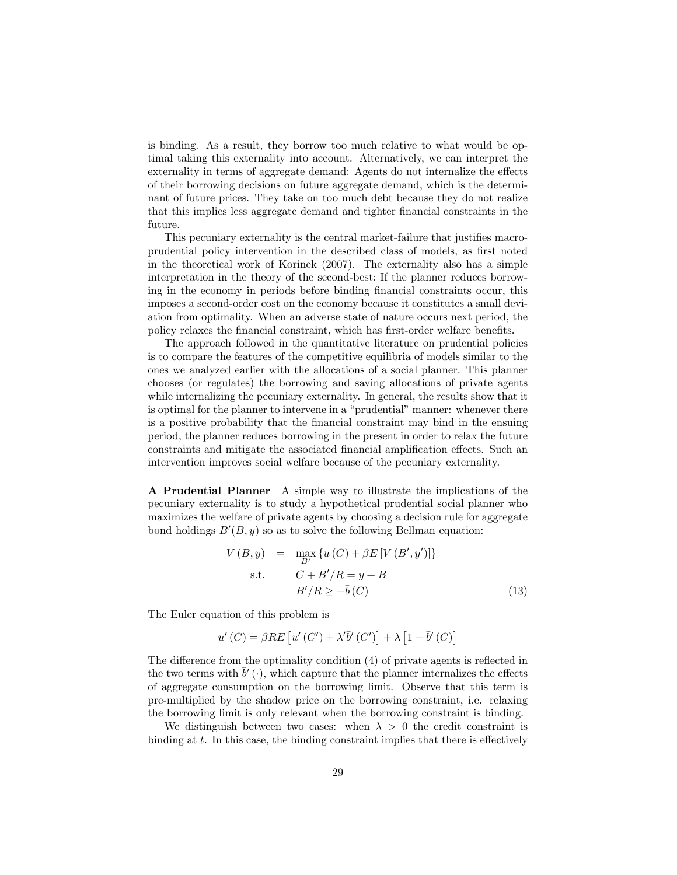is binding. As a result, they borrow too much relative to what would be optimal taking this externality into account. Alternatively, we can interpret the externality in terms of aggregate demand: Agents do not internalize the effects of their borrowing decisions on future aggregate demand, which is the determinant of future prices. They take on too much debt because they do not realize that this implies less aggregate demand and tighter financial constraints in the future.

This pecuniary externality is the central market-failure that justifies macroprudential policy intervention in the described class of models, as first noted in the theoretical work of Korinek (2007). The externality also has a simple interpretation in the theory of the second-best: If the planner reduces borrowing in the economy in periods before binding financial constraints occur, this imposes a second-order cost on the economy because it constitutes a small deviation from optimality. When an adverse state of nature occurs next period, the policy relaxes the financial constraint, which has first-order welfare benefits.

The approach followed in the quantitative literature on prudential policies is to compare the features of the competitive equilibria of models similar to the ones we analyzed earlier with the allocations of a social planner. This planner chooses (or regulates) the borrowing and saving allocations of private agents while internalizing the pecuniary externality. In general, the results show that it is optimal for the planner to intervene in a "prudential" manner: whenever there is a positive probability that the Önancial constraint may bind in the ensuing period, the planner reduces borrowing in the present in order to relax the future constraints and mitigate the associated financial amplification effects. Such an intervention improves social welfare because of the pecuniary externality.

A Prudential Planner A simple way to illustrate the implications of the pecuniary externality is to study a hypothetical prudential social planner who maximizes the welfare of private agents by choosing a decision rule for aggregate bond holdings  $B'(B, y)$  so as to solve the following Bellman equation:

$$
V(B, y) = \max_{B'} \{u(C) + \beta E[V(B', y')]\}
$$
  
s.t. 
$$
C + B'/R = y + B
$$

$$
B'/R \ge -\overline{b}(C)
$$
(13)

The Euler equation of this problem is

$$
u'(C) = \beta RE\left[u'(C') + \lambda'\overline{b}'(C')\right] + \lambda \left[1 - \overline{b}'(C)\right]
$$

The difference from the optimality condition  $(4)$  of private agents is reflected in the two terms with  $\bar{b}'$  ( ), which capture that the planner internalizes the effects of aggregate consumption on the borrowing limit. Observe that this term is pre-multiplied by the shadow price on the borrowing constraint, i.e. relaxing the borrowing limit is only relevant when the borrowing constraint is binding.

We distinguish between two cases: when  $\lambda > 0$  the credit constraint is binding at  $t$ . In this case, the binding constraint implies that there is effectively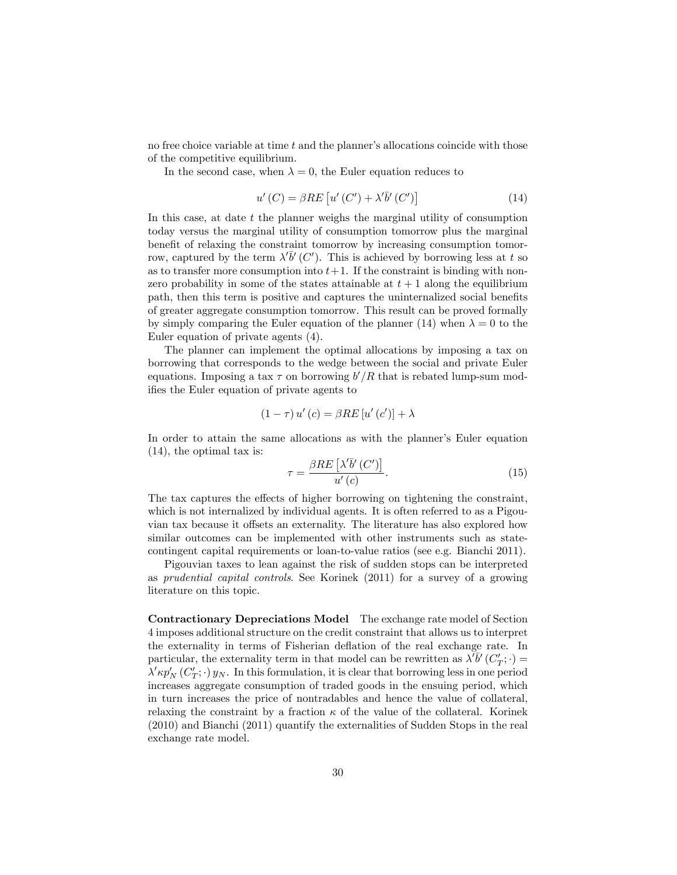no free choice variable at time  $t$  and the planner's allocations coincide with those of the competitive equilibrium.

In the second case, when  $\lambda = 0$ , the Euler equation reduces to

$$
u'(C) = \beta RE\left[u'(C') + \lambda'\overline{b}'(C')\right]
$$
\n(14)

In this case, at date  $t$  the planner weighs the marginal utility of consumption today versus the marginal utility of consumption tomorrow plus the marginal benefit of relaxing the constraint tomorrow by increasing consumption tomorrow, captured by the term  $\lambda' \bar{b}'(C')$ . This is achieved by borrowing less at t so as to transfer more consumption into  $t+1$ . If the constraint is binding with nonzero probability in some of the states attainable at  $t + 1$  along the equilibrium path, then this term is positive and captures the uninternalized social benefits of greater aggregate consumption tomorrow. This result can be proved formally by simply comparing the Euler equation of the planner (14) when  $\lambda = 0$  to the Euler equation of private agents (4).

The planner can implement the optimal allocations by imposing a tax on borrowing that corresponds to the wedge between the social and private Euler equations. Imposing a tax  $\tau$  on borrowing  $b'/R$  that is rebated lump-sum modifies the Euler equation of private agents to

$$
(1 - \tau) u'(c) = \beta RE[u'(c')] + \lambda
$$

In order to attain the same allocations as with the planner's Euler equation (14), the optimal tax is:

$$
\tau = \frac{\beta RE\left[\lambda'\overline{b}'\left(C'\right)\right]}{u'\left(c\right)}.\tag{15}
$$

The tax captures the effects of higher borrowing on tightening the constraint, which is not internalized by individual agents. It is often referred to as a Pigouvian tax because it offsets an externality. The literature has also explored how similar outcomes can be implemented with other instruments such as statecontingent capital requirements or loan-to-value ratios (see e.g. Bianchi 2011).

Pigouvian taxes to lean against the risk of sudden stops can be interpreted as prudential capital controls. See Korinek (2011) for a survey of a growing literature on this topic.

Contractionary Depreciations Model The exchange rate model of Section 4 imposes additional structure on the credit constraint that allows us to interpret the externality in terms of Fisherian deflation of the real exchange rate. In particular, the externality term in that model can be rewritten as  $\lambda^{T}b^{T}(C_{T}';.) =$  $\lambda' \kappa p'_N(C'_T; \cdot) y_N$ . In this formulation, it is clear that borrowing less in one period increases aggregate consumption of traded goods in the ensuing period, which in turn increases the price of nontradables and hence the value of collateral, relaxing the constraint by a fraction  $\kappa$  of the value of the collateral. Korinek (2010) and Bianchi (2011) quantify the externalities of Sudden Stops in the real exchange rate model.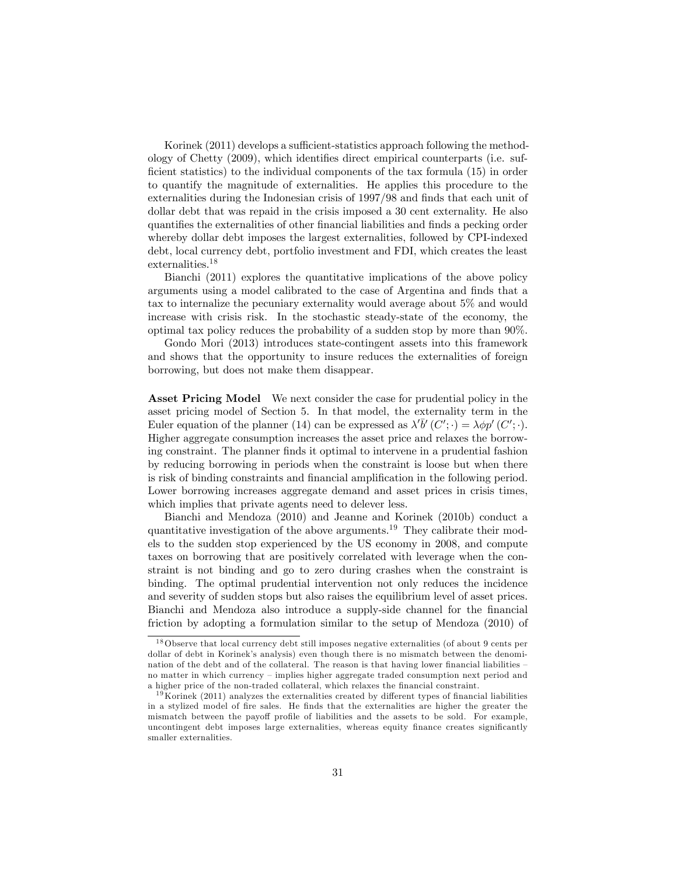Korinek (2011) develops a sufficient-statistics approach following the methodology of Chetty (2009), which identifies direct empirical counterparts (i.e. sufficient statistics) to the individual components of the tax formula  $(15)$  in order to quantify the magnitude of externalities. He applies this procedure to the externalities during the Indonesian crisis of  $1997/98$  and finds that each unit of dollar debt that was repaid in the crisis imposed a 30 cent externality. He also quantifies the externalities of other financial liabilities and finds a pecking order whereby dollar debt imposes the largest externalities, followed by CPI-indexed debt, local currency debt, portfolio investment and FDI, which creates the least externalities.<sup>18</sup>

Bianchi (2011) explores the quantitative implications of the above policy arguments using a model calibrated to the case of Argentina and finds that a tax to internalize the pecuniary externality would average about 5% and would increase with crisis risk. In the stochastic steady-state of the economy, the optimal tax policy reduces the probability of a sudden stop by more than 90%.

Gondo Mori (2013) introduces state-contingent assets into this framework and shows that the opportunity to insure reduces the externalities of foreign borrowing, but does not make them disappear.

Asset Pricing Model We next consider the case for prudential policy in the asset pricing model of Section 5. In that model, the externality term in the Euler equation of the planner (14) can be expressed as  $\lambda' \overline{b}'(C';\cdot) = \lambda \phi p'(C';\cdot)$ . Higher aggregate consumption increases the asset price and relaxes the borrowing constraint. The planner finds it optimal to intervene in a prudential fashion by reducing borrowing in periods when the constraint is loose but when there is risk of binding constraints and financial amplification in the following period. Lower borrowing increases aggregate demand and asset prices in crisis times, which implies that private agents need to delever less.

Bianchi and Mendoza (2010) and Jeanne and Korinek (2010b) conduct a quantitative investigation of the above arguments.<sup>19</sup> They calibrate their models to the sudden stop experienced by the US economy in 2008, and compute taxes on borrowing that are positively correlated with leverage when the constraint is not binding and go to zero during crashes when the constraint is binding. The optimal prudential intervention not only reduces the incidence and severity of sudden stops but also raises the equilibrium level of asset prices. Bianchi and Mendoza also introduce a supply-side channel for the financial friction by adopting a formulation similar to the setup of Mendoza (2010) of

<sup>18</sup>Observe that local currency debt still imposes negative externalities (of about 9 cents per dollar of debt in Korinek's analysis) even though there is no mismatch between the denomination of the debt and of the collateral. The reason is that having lower financial liabilities no matter in which currency – implies higher aggregate traded consumption next period and a higher price of the non-traded collateral, which relaxes the financial constraint.

 $19$ Korinek (2011) analyzes the externalities created by different types of financial liabilities in a stylized model of Öre sales. He Önds that the externalities are higher the greater the mismatch between the payoff profile of liabilities and the assets to be sold. For example, uncontingent debt imposes large externalities, whereas equity finance creates significantly smaller externalities.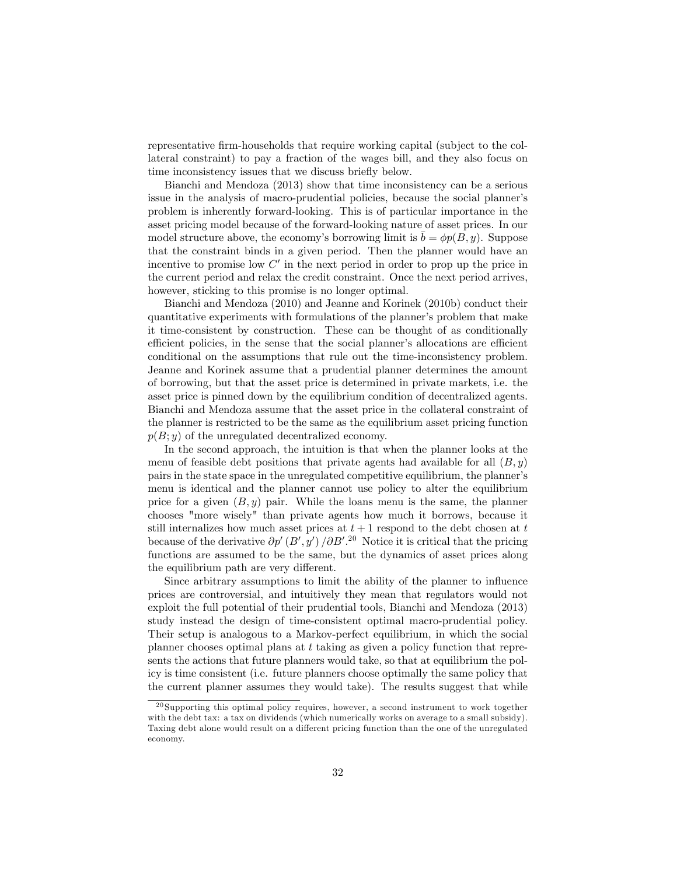representative Örm-households that require working capital (subject to the collateral constraint) to pay a fraction of the wages bill, and they also focus on time inconsistency issues that we discuss briefly below.

Bianchi and Mendoza (2013) show that time inconsistency can be a serious issue in the analysis of macro-prudential policies, because the social plannerís problem is inherently forward-looking. This is of particular importance in the asset pricing model because of the forward-looking nature of asset prices. In our model structure above, the economy's borrowing limit is  $\bar{b} = \phi p(B, y)$ . Suppose that the constraint binds in a given period. Then the planner would have an incentive to promise low  $C'$  in the next period in order to prop up the price in the current period and relax the credit constraint. Once the next period arrives, however, sticking to this promise is no longer optimal.

Bianchi and Mendoza (2010) and Jeanne and Korinek (2010b) conduct their quantitative experiments with formulations of the planner's problem that make it time-consistent by construction. These can be thought of as conditionally efficient policies, in the sense that the social planner's allocations are efficient conditional on the assumptions that rule out the time-inconsistency problem. Jeanne and Korinek assume that a prudential planner determines the amount of borrowing, but that the asset price is determined in private markets, i.e. the asset price is pinned down by the equilibrium condition of decentralized agents. Bianchi and Mendoza assume that the asset price in the collateral constraint of the planner is restricted to be the same as the equilibrium asset pricing function  $p(B; y)$  of the unregulated decentralized economy.

In the second approach, the intuition is that when the planner looks at the menu of feasible debt positions that private agents had available for all  $(B, y)$ pairs in the state space in the unregulated competitive equilibrium, the plannerís menu is identical and the planner cannot use policy to alter the equilibrium price for a given  $(B, y)$  pair. While the loans menu is the same, the planner chooses "more wisely" than private agents how much it borrows, because it still internalizes how much asset prices at  $t + 1$  respond to the debt chosen at  $t$ because of the derivative  $\partial p'(B', y')/\partial B'^{20}$  Notice it is critical that the pricing functions are assumed to be the same, but the dynamics of asset prices along the equilibrium path are very different.

Since arbitrary assumptions to limit the ability of the planner to influence prices are controversial, and intuitively they mean that regulators would not exploit the full potential of their prudential tools, Bianchi and Mendoza (2013) study instead the design of time-consistent optimal macro-prudential policy. Their setup is analogous to a Markov-perfect equilibrium, in which the social planner chooses optimal plans at t taking as given a policy function that represents the actions that future planners would take, so that at equilibrium the policy is time consistent (i.e. future planners choose optimally the same policy that the current planner assumes they would take). The results suggest that while

 $^{20}$  Supporting this optimal policy requires, however, a second instrument to work together with the debt tax: a tax on dividends (which numerically works on average to a small subsidy). Taxing debt alone would result on a different pricing function than the one of the unregulated economy.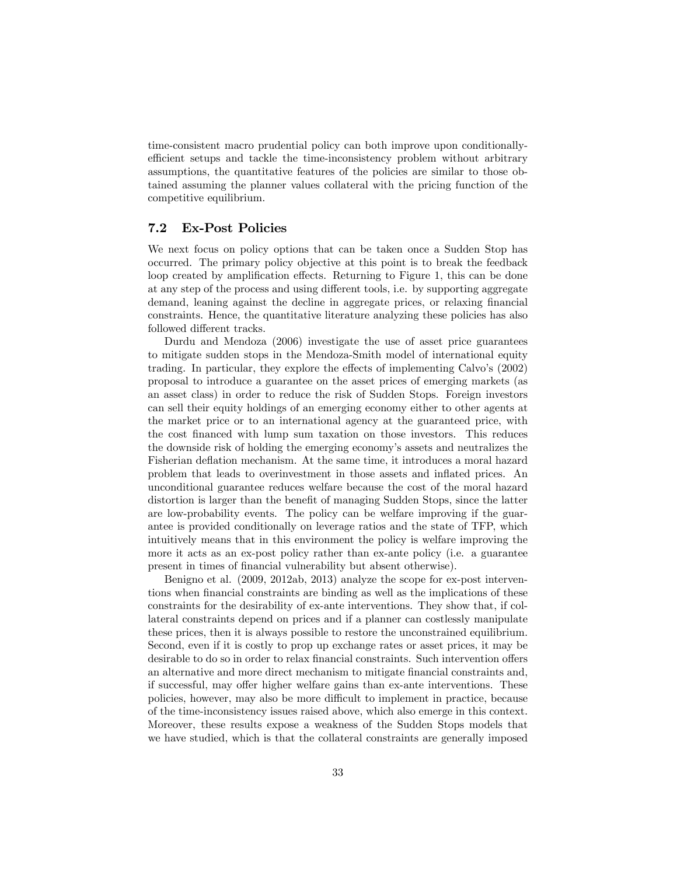time-consistent macro prudential policy can both improve upon conditionallyefficient setups and tackle the time-inconsistency problem without arbitrary assumptions, the quantitative features of the policies are similar to those obtained assuming the planner values collateral with the pricing function of the competitive equilibrium.

#### 7.2 Ex-Post Policies

We next focus on policy options that can be taken once a Sudden Stop has occurred. The primary policy objective at this point is to break the feedback loop created by amplification effects. Returning to Figure 1, this can be done at any step of the process and using different tools, i.e. by supporting aggregate demand, leaning against the decline in aggregate prices, or relaxing financial constraints. Hence, the quantitative literature analyzing these policies has also followed different tracks.

Durdu and Mendoza (2006) investigate the use of asset price guarantees to mitigate sudden stops in the Mendoza-Smith model of international equity trading. In particular, they explore the effects of implementing Calvo's (2002) proposal to introduce a guarantee on the asset prices of emerging markets (as an asset class) in order to reduce the risk of Sudden Stops. Foreign investors can sell their equity holdings of an emerging economy either to other agents at the market price or to an international agency at the guaranteed price, with the cost Önanced with lump sum taxation on those investors. This reduces the downside risk of holding the emerging economy's assets and neutralizes the Fisherian deflation mechanism. At the same time, it introduces a moral hazard problem that leads to overinvestment in those assets and inflated prices. An unconditional guarantee reduces welfare because the cost of the moral hazard distortion is larger than the benefit of managing Sudden Stops, since the latter are low-probability events. The policy can be welfare improving if the guarantee is provided conditionally on leverage ratios and the state of TFP, which intuitively means that in this environment the policy is welfare improving the more it acts as an ex-post policy rather than ex-ante policy (i.e. a guarantee present in times of financial vulnerability but absent otherwise).

Benigno et al. (2009, 2012ab, 2013) analyze the scope for ex-post interventions when financial constraints are binding as well as the implications of these constraints for the desirability of ex-ante interventions. They show that, if collateral constraints depend on prices and if a planner can costlessly manipulate these prices, then it is always possible to restore the unconstrained equilibrium. Second, even if it is costly to prop up exchange rates or asset prices, it may be desirable to do so in order to relax financial constraints. Such intervention offers an alternative and more direct mechanism to mitigate financial constraints and, if successful, may offer higher welfare gains than ex-ante interventions. These policies, however, may also be more difficult to implement in practice, because of the time-inconsistency issues raised above, which also emerge in this context. Moreover, these results expose a weakness of the Sudden Stops models that we have studied, which is that the collateral constraints are generally imposed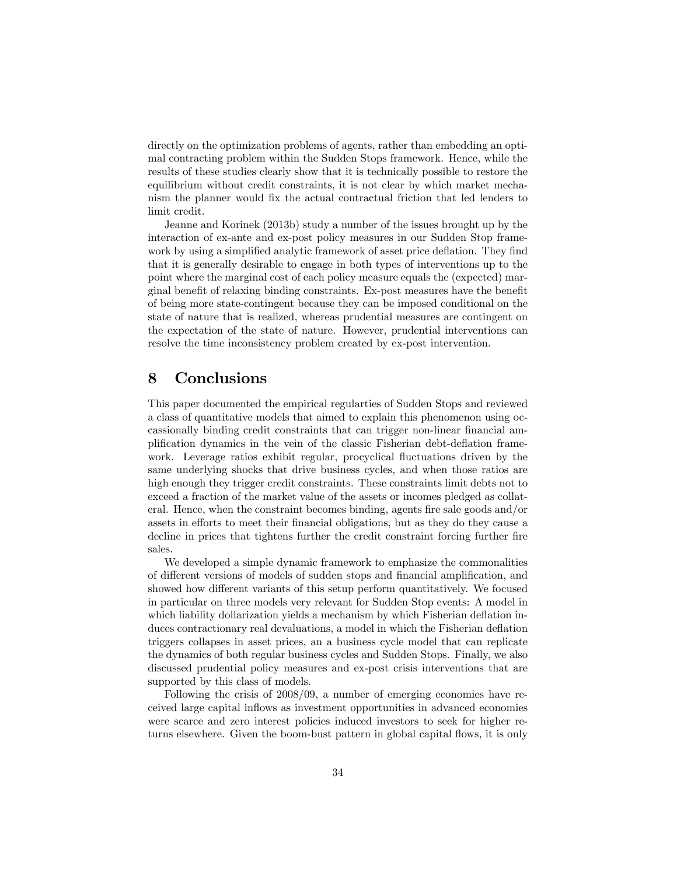directly on the optimization problems of agents, rather than embedding an optimal contracting problem within the Sudden Stops framework. Hence, while the results of these studies clearly show that it is technically possible to restore the equilibrium without credit constraints, it is not clear by which market mechanism the planner would Öx the actual contractual friction that led lenders to limit credit.

Jeanne and Korinek (2013b) study a number of the issues brought up by the interaction of ex-ante and ex-post policy measures in our Sudden Stop framework by using a simplified analytic framework of asset price deflation. They find that it is generally desirable to engage in both types of interventions up to the point where the marginal cost of each policy measure equals the (expected) marginal benefit of relaxing binding constraints. Ex-post measures have the benefit of being more state-contingent because they can be imposed conditional on the state of nature that is realized, whereas prudential measures are contingent on the expectation of the state of nature. However, prudential interventions can resolve the time inconsistency problem created by ex-post intervention.

### 8 Conclusions

This paper documented the empirical regularties of Sudden Stops and reviewed a class of quantitative models that aimed to explain this phenomenon using occassionally binding credit constraints that can trigger non-linear financial amplification dynamics in the vein of the classic Fisherian debt-deflation framework. Leverage ratios exhibit regular, procyclical fluctuations driven by the same underlying shocks that drive business cycles, and when those ratios are high enough they trigger credit constraints. These constraints limit debts not to exceed a fraction of the market value of the assets or incomes pledged as collateral. Hence, when the constraint becomes binding, agents fire sale goods and/or assets in efforts to meet their financial obligations, but as they do they cause a decline in prices that tightens further the credit constraint forcing further fire sales.

We developed a simple dynamic framework to emphasize the commonalities of different versions of models of sudden stops and financial amplification, and showed how different variants of this setup perform quantitatively. We focused in particular on three models very relevant for Sudden Stop events: A model in which liability dollarization yields a mechanism by which Fisherian deflation induces contractionary real devaluations, a model in which the Fisherian deflation triggers collapses in asset prices, an a business cycle model that can replicate the dynamics of both regular business cycles and Sudden Stops. Finally, we also discussed prudential policy measures and ex-post crisis interventions that are supported by this class of models.

Following the crisis of 2008/09, a number of emerging economies have received large capital ináows as investment opportunities in advanced economies were scarce and zero interest policies induced investors to seek for higher returns elsewhere. Given the boom-bust pattern in global capital flows, it is only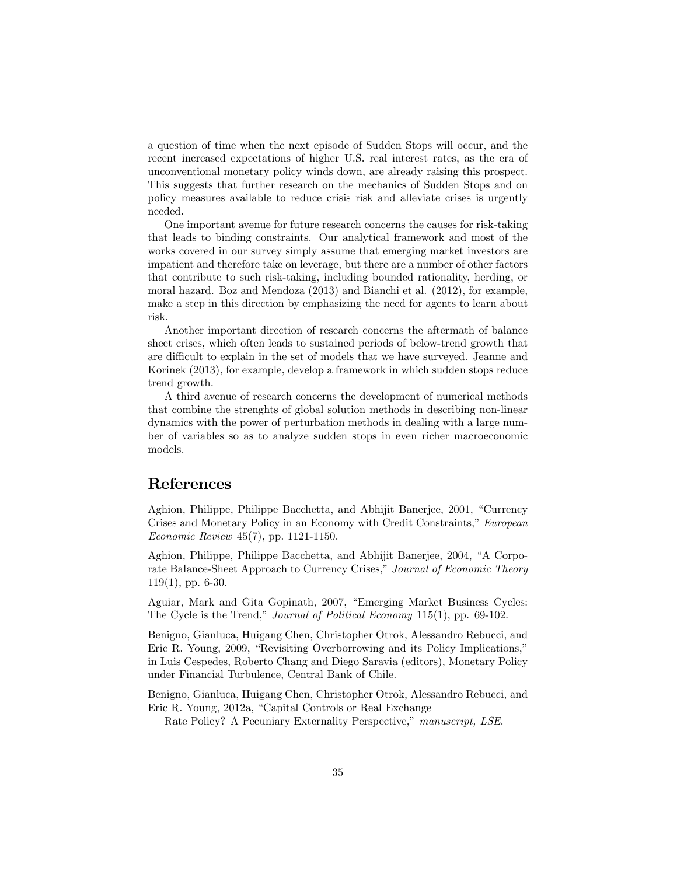a question of time when the next episode of Sudden Stops will occur, and the recent increased expectations of higher U.S. real interest rates, as the era of unconventional monetary policy winds down, are already raising this prospect. This suggests that further research on the mechanics of Sudden Stops and on policy measures available to reduce crisis risk and alleviate crises is urgently needed.

One important avenue for future research concerns the causes for risk-taking that leads to binding constraints. Our analytical framework and most of the works covered in our survey simply assume that emerging market investors are impatient and therefore take on leverage, but there are a number of other factors that contribute to such risk-taking, including bounded rationality, herding, or moral hazard. Boz and Mendoza (2013) and Bianchi et al. (2012), for example, make a step in this direction by emphasizing the need for agents to learn about risk.

Another important direction of research concerns the aftermath of balance sheet crises, which often leads to sustained periods of below-trend growth that are difficult to explain in the set of models that we have surveyed. Jeanne and Korinek (2013), for example, develop a framework in which sudden stops reduce trend growth.

A third avenue of research concerns the development of numerical methods that combine the strenghts of global solution methods in describing non-linear dynamics with the power of perturbation methods in dealing with a large number of variables so as to analyze sudden stops in even richer macroeconomic models.

#### References

Aghion, Philippe, Philippe Bacchetta, and Abhijit Banerjee, 2001, "Currency Crises and Monetary Policy in an Economy with Credit Constraints," European Economic Review 45(7), pp. 1121-1150.

Aghion, Philippe, Philippe Bacchetta, and Abhijit Banerjee, 2004, "A Corporate Balance-Sheet Approach to Currency Crises," Journal of Economic Theory  $119(1)$ , pp. 6-30.

Aguiar, Mark and Gita Gopinath, 2007, "Emerging Market Business Cycles: The Cycle is the Trend," Journal of Political Economy 115(1), pp. 69-102.

Benigno, Gianluca, Huigang Chen, Christopher Otrok, Alessandro Rebucci, and Eric R. Young, 2009, "Revisiting Overborrowing and its Policy Implications," in Luis Cespedes, Roberto Chang and Diego Saravia (editors), Monetary Policy under Financial Turbulence, Central Bank of Chile.

Benigno, Gianluca, Huigang Chen, Christopher Otrok, Alessandro Rebucci, and Eric R. Young, 2012a, "Capital Controls or Real Exchange

Rate Policy? A Pecuniary Externality Perspective," manuscript, LSE.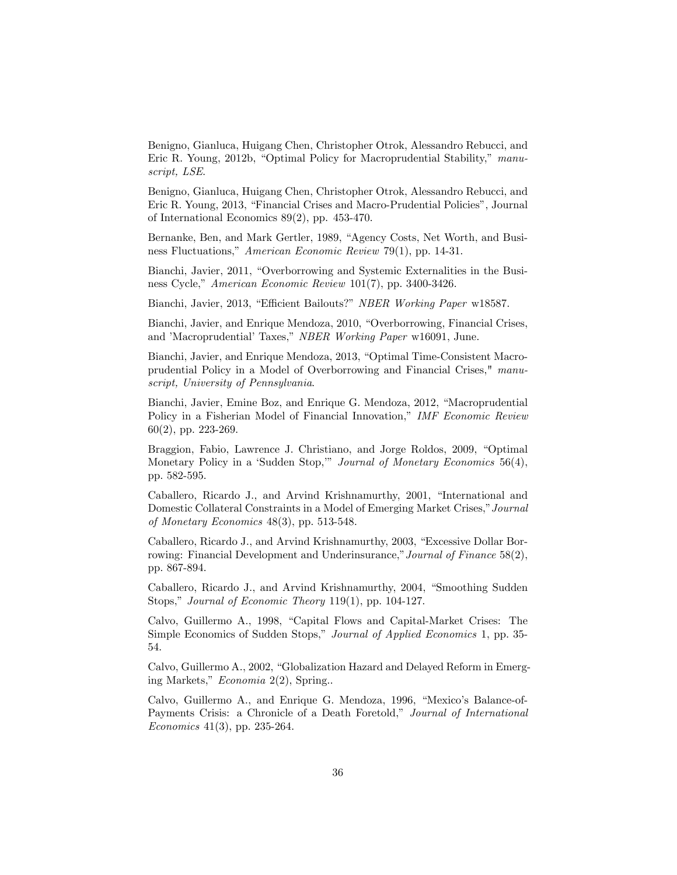Benigno, Gianluca, Huigang Chen, Christopher Otrok, Alessandro Rebucci, and Eric R. Young, 2012b, "Optimal Policy for Macroprudential Stability," manuscript, LSE.

Benigno, Gianluca, Huigang Chen, Christopher Otrok, Alessandro Rebucci, and Eric R. Young, 2013, "Financial Crises and Macro-Prudential Policies", Journal of International Economics 89(2), pp. 453-470.

Bernanke, Ben, and Mark Gertler, 1989, "Agency Costs, Net Worth, and Business Fluctuations," American Economic Review 79(1), pp. 14-31.

Bianchi, Javier, 2011, "Overborrowing and Systemic Externalities in the Business Cycle," American Economic Review 101(7), pp. 3400-3426.

Bianchi, Javier, 2013, "Efficient Bailouts?" NBER Working Paper w18587.

Bianchi, Javier, and Enrique Mendoza, 2010, "Overborrowing, Financial Crises, and 'Macroprudential' Taxes," NBER Working Paper w16091, June.

Bianchi, Javier, and Enrique Mendoza, 2013, "Optimal Time-Consistent Macroprudential Policy in a Model of Overborrowing and Financial Crises," manuscript, University of Pennsylvania.

Bianchi, Javier, Emine Boz, and Enrique G. Mendoza, 2012, "Macroprudential Policy in a Fisherian Model of Financial Innovation," IMF Economic Review 60(2), pp. 223-269.

Braggion, Fabio, Lawrence J. Christiano, and Jorge Roldos, 2009, "Optimal Monetary Policy in a 'Sudden Stop," Journal of Monetary Economics  $56(4)$ , pp. 582-595.

Caballero, Ricardo J., and Arvind Krishnamurthy, 2001, "International and Domestic Collateral Constraints in a Model of Emerging Market Crises," Journal of Monetary Economics 48(3), pp. 513-548.

Caballero, Ricardo J., and Arvind Krishnamurthy, 2003, "Excessive Dollar Borrowing: Financial Development and Underinsurance," Journal of Finance  $58(2)$ , pp. 867-894.

Caballero, Ricardo J., and Arvind Krishnamurthy, 2004, "Smoothing Sudden Stops," Journal of Economic Theory 119(1), pp. 104-127.

Calvo, Guillermo A., 1998, "Capital Flows and Capital-Market Crises: The Simple Economics of Sudden Stops," Journal of Applied Economics 1, pp. 35-54.

Calvo, Guillermo A., 2002, "Globalization Hazard and Delayed Reform in Emerging Markets,"  $Economia$  2(2), Spring...

Calvo, Guillermo A., and Enrique G. Mendoza, 1996, "Mexico's Balance-of-Payments Crisis: a Chronicle of a Death Foretold," Journal of International Economics 41(3), pp. 235-264.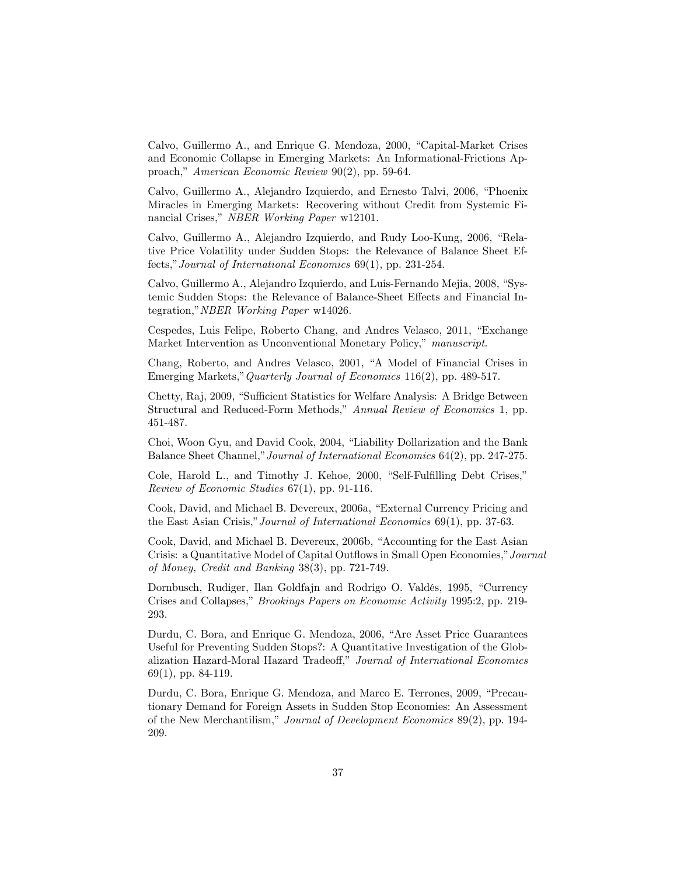Calvo, Guillermo A., and Enrique G. Mendoza, 2000, "Capital-Market Crises and Economic Collapse in Emerging Markets: An Informational-Frictions Approach," American Economic Review 90(2), pp. 59-64.

Calvo, Guillermo A., Alejandro Izquierdo, and Ernesto Talvi, 2006, "Phoenix Miracles in Emerging Markets: Recovering without Credit from Systemic Financial Crises," NBER Working Paper w12101.

Calvo, Guillermo A., Alejandro Izquierdo, and Rudy Loo-Kung, 2006, "Relative Price Volatility under Sudden Stops: the Relevance of Balance Sheet Effects," Journal of International Economics  $69(1)$ , pp. 231-254.

Calvo, Guillermo A., Alejandro Izquierdo, and Luis-Fernando Mejia, 2008, "Systemic Sudden Stops: the Relevance of Balance-Sheet Effects and Financial Integration," NBER Working Paper w14026.

Cespedes, Luis Felipe, Roberto Chang, and Andres Velasco, 2011, "Exchange Market Intervention as Unconventional Monetary Policy," manuscript.

Chang, Roberto, and Andres Velasco, 2001, "A Model of Financial Crises in Emerging Markets," Quarterly Journal of Economics 116(2), pp. 489-517.

Chetty, Raj, 2009, "Sufficient Statistics for Welfare Analysis: A Bridge Between Structural and Reduced-Form Methods," Annual Review of Economics 1, pp. 451-487.

Choi, Woon Gyu, and David Cook, 2004, "Liability Dollarization and the Bank Balance Sheet Channel," Journal of International Economics 64(2), pp. 247-275.

Cole, Harold L., and Timothy J. Kehoe, 2000, "Self-Fulfilling Debt Crises," Review of Economic Studies 67(1), pp. 91-116.

Cook, David, and Michael B. Devereux, 2006a, "External Currency Pricing and the East Asian Crisis," Journal of International Economics 69(1), pp. 37-63.

Cook, David, and Michael B. Devereux, 2006b, "Accounting for the East Asian Crisis: a Quantitative Model of Capital Outflows in Small Open Economies," Journal of Money, Credit and Banking 38(3), pp. 721-749.

Dornbusch, Rudiger, Ilan Goldfajn and Rodrigo O. Valdés, 1995, "Currency Crises and Collapses," Brookings Papers on Economic Activity 1995:2, pp. 219-293.

Durdu, C. Bora, and Enrique G. Mendoza, 2006, "Are Asset Price Guarantees Useful for Preventing Sudden Stops?: A Quantitative Investigation of the Globalization Hazard-Moral Hazard Tradeoff," Journal of International Economics 69(1), pp. 84-119.

Durdu, C. Bora, Enrique G. Mendoza, and Marco E. Terrones, 2009, "Precautionary Demand for Foreign Assets in Sudden Stop Economies: An Assessment of the New Merchantilism," Journal of Development Economics 89(2), pp. 194-209.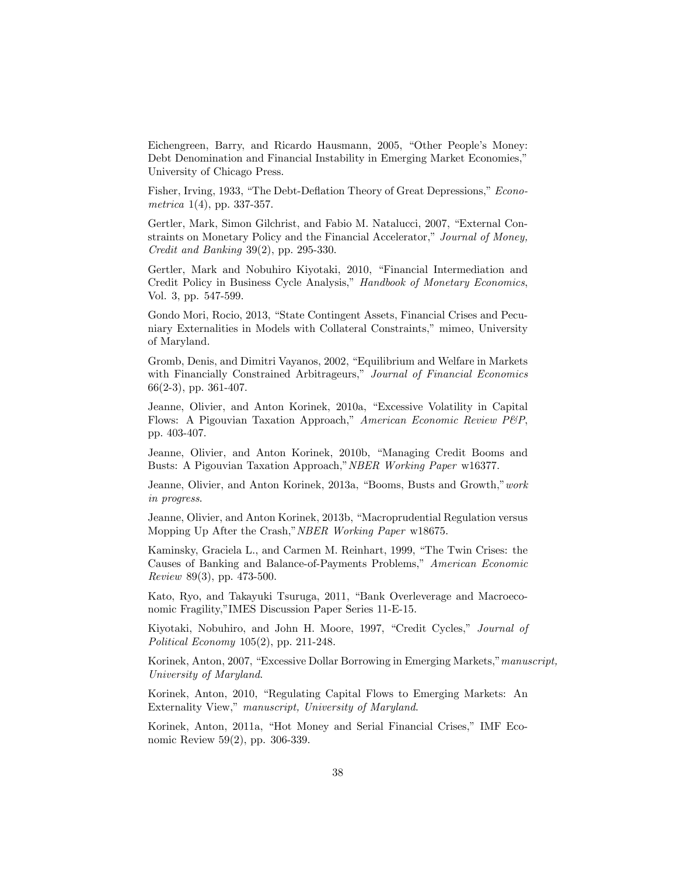Eichengreen, Barry, and Ricardo Hausmann, 2005, "Other People's Money: Debt Denomination and Financial Instability in Emerging Market Economies," University of Chicago Press.

Fisher, Irving, 1933, "The Debt-Deflation Theory of Great Depressions," Econometrica  $1(4)$ , pp. 337-357.

Gertler, Mark, Simon Gilchrist, and Fabio M. Natalucci, 2007, "External Constraints on Monetary Policy and the Financial Accelerator," Journal of Money, Credit and Banking 39(2), pp. 295-330.

Gertler, Mark and Nobuhiro Kiyotaki, 2010, "Financial Intermediation and Credit Policy in Business Cycle Analysis," Handbook of Monetary Economics, Vol. 3, pp. 547-599.

Gondo Mori, Rocio, 2013, "State Contingent Assets, Financial Crises and Pecuniary Externalities in Models with Collateral Constraints," mimeo, University of Maryland.

Gromb, Denis, and Dimitri Vayanos, 2002, "Equilibrium and Welfare in Markets with Financially Constrained Arbitrageurs," Journal of Financial Economics 66(2-3), pp. 361-407.

Jeanne, Olivier, and Anton Korinek, 2010a, "Excessive Volatility in Capital Flows: A Pigouvian Taxation Approach," American Economic Review P&P, pp. 403-407.

Jeanne, Olivier, and Anton Korinek, 2010b, "Managing Credit Booms and Busts: A Pigouvian Taxation Approach," NBER Working Paper w16377.

Jeanne, Olivier, and Anton Korinek, 2013a, "Booms, Busts and Growth," work in progress.

Jeanne, Olivier, and Anton Korinek, 2013b, "Macroprudential Regulation versus Mopping Up After the Crash," NBER Working Paper w18675.

Kaminsky, Graciela L., and Carmen M. Reinhart, 1999, "The Twin Crises: the Causes of Banking and Balance-of-Payments Problems," American Economic Review 89(3), pp. 473-500.

Kato, Ryo, and Takayuki Tsuruga, 2011, "Bank Overleverage and Macroeconomic Fragility,"IMES Discussion Paper Series 11-E-15.

Kiyotaki, Nobuhiro, and John H. Moore, 1997, "Credit Cycles," Journal of Political Economy 105(2), pp. 211-248.

Korinek, Anton, 2007, "Excessive Dollar Borrowing in Emerging Markets," manuscript, University of Maryland.

Korinek, Anton, 2010, "Regulating Capital Flows to Emerging Markets: An Externality View," manuscript, University of Maryland.

Korinek, Anton, 2011a, "Hot Money and Serial Financial Crises," IMF Economic Review 59(2), pp. 306-339.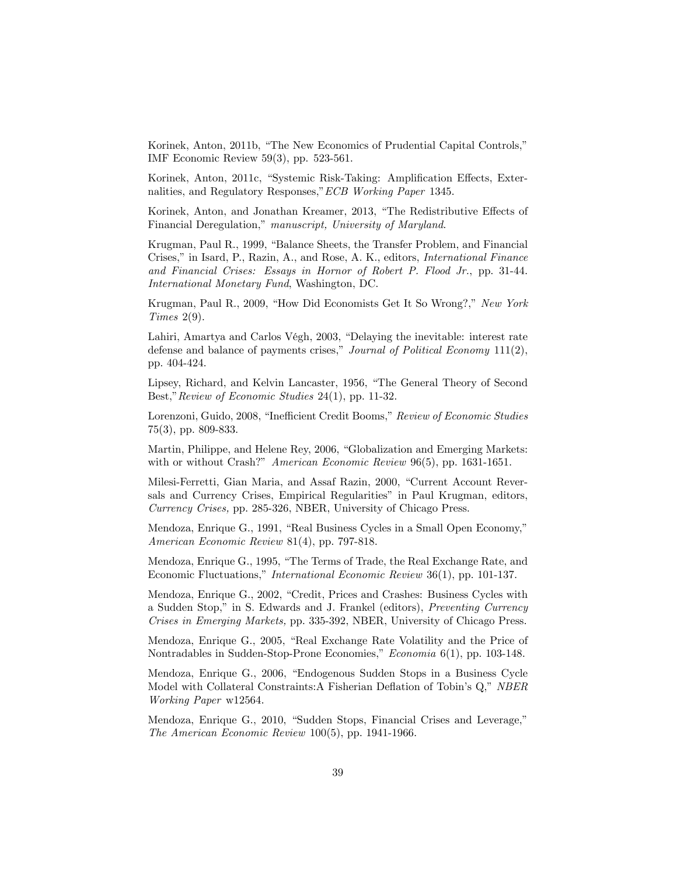Korinek, Anton, 2011b, "The New Economics of Prudential Capital Controls," IMF Economic Review 59(3), pp. 523-561.

Korinek, Anton, 2011c, "Systemic Risk-Taking: Amplification Effects, Externalities, and Regulatory Responses," ECB Working Paper 1345.

Korinek, Anton, and Jonathan Kreamer, 2013, "The Redistributive Effects of Financial Deregulation," manuscript, University of Maryland.

Krugman, Paul R., 1999, "Balance Sheets, the Transfer Problem, and Financial Crises," in Isard, P., Razin, A., and Rose, A. K., editors, *International Finance* and Financial Crises: Essays in Hornor of Robert P. Flood Jr., pp. 31-44. International Monetary Fund, Washington, DC.

Krugman, Paul R., 2009, "How Did Economists Get It So Wrong?," New York Times 2(9).

Lahiri, Amartya and Carlos Végh,  $2003$ , "Delaying the inevitable: interest rate defense and balance of payments crises," Journal of Political Economy  $111(2)$ , pp. 404-424.

Lipsey, Richard, and Kelvin Lancaster, 1956, "The General Theory of Second Best," Review of Economic Studies 24(1), pp. 11-32.

Lorenzoni, Guido, 2008, "Inefficient Credit Booms," Review of Economic Studies 75(3), pp. 809-833.

Martin, Philippe, and Helene Rey, 2006, "Globalization and Emerging Markets: with or without Crash?" American Economic Review 96(5), pp. 1631-1651.

Milesi-Ferretti, Gian Maria, and Assaf Razin, 2000, "Current Account Reversals and Currency Crises, Empirical Regularities<sup>"</sup> in Paul Krugman, editors, Currency Crises, pp. 285-326, NBER, University of Chicago Press.

Mendoza, Enrique G., 1991, "Real Business Cycles in a Small Open Economy," American Economic Review 81(4), pp. 797-818.

Mendoza, Enrique G., 1995, "The Terms of Trade, the Real Exchange Rate, and Economic Fluctuations," International Economic Review  $36(1)$ , pp. 101-137.

Mendoza, Enrique G., 2002, "Credit, Prices and Crashes: Business Cycles with a Sudden Stop," in S. Edwards and J. Frankel (editors), Preventing Currency Crises in Emerging Markets, pp. 335-392, NBER, University of Chicago Press.

Mendoza, Enrique G., 2005, "Real Exchange Rate Volatility and the Price of Nontradables in Sudden-Stop-Prone Economies," Economia 6(1), pp. 103-148.

Mendoza, Enrique G., 2006, "Endogenous Sudden Stops in a Business Cycle Model with Collateral Constraints:A Fisherian Deflation of Tobin's Q," NBER Working Paper w12564.

Mendoza, Enrique G., 2010, "Sudden Stops, Financial Crises and Leverage," The American Economic Review 100(5), pp. 1941-1966.